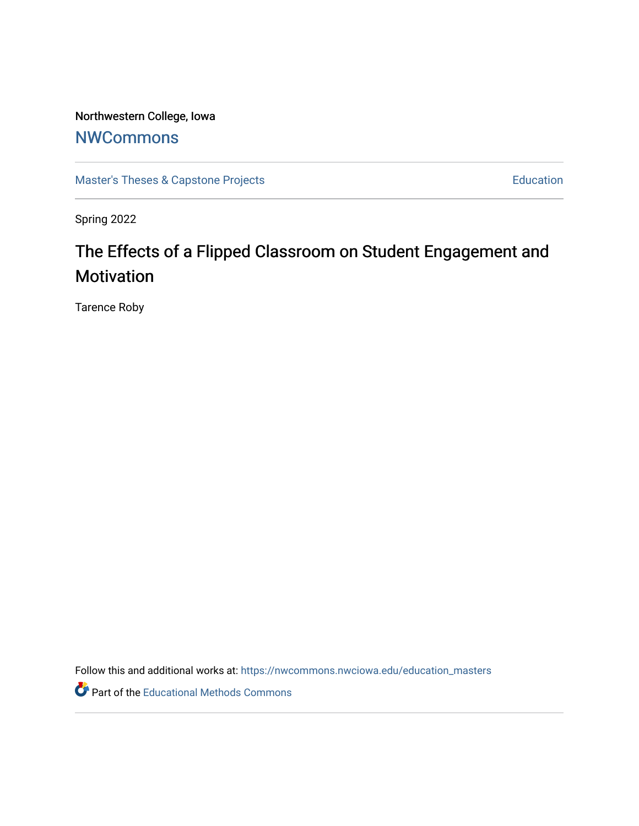# Northwestern College, Iowa

# **[NWCommons](https://nwcommons.nwciowa.edu/)**

[Master's Theses & Capstone Projects](https://nwcommons.nwciowa.edu/education_masters) **Education** Education

Spring 2022

# The Effects of a Flipped Classroom on Student Engagement and Motivation

Tarence Roby

Follow this and additional works at: [https://nwcommons.nwciowa.edu/education\\_masters](https://nwcommons.nwciowa.edu/education_masters?utm_source=nwcommons.nwciowa.edu%2Feducation_masters%2F403&utm_medium=PDF&utm_campaign=PDFCoverPages)

Part of the [Educational Methods Commons](https://network.bepress.com/hgg/discipline/1227?utm_source=nwcommons.nwciowa.edu%2Feducation_masters%2F403&utm_medium=PDF&utm_campaign=PDFCoverPages)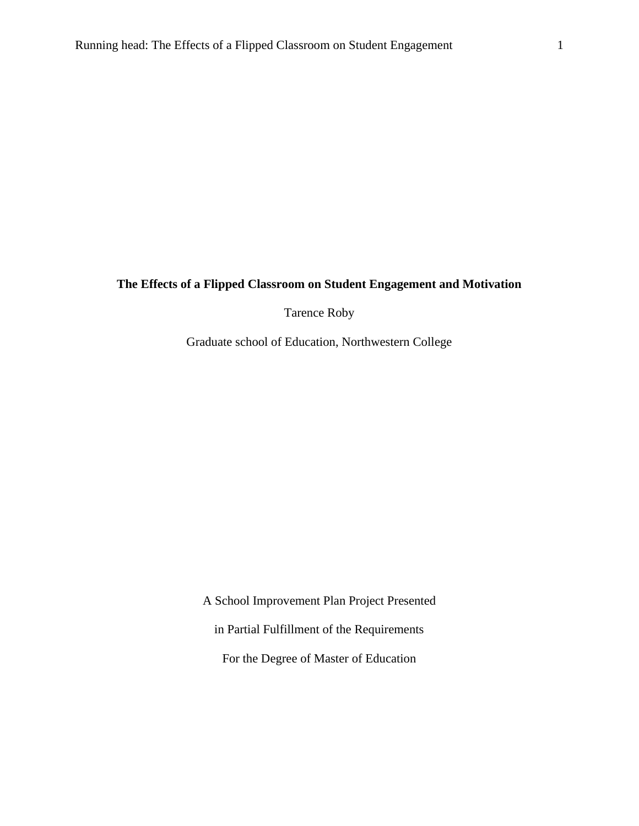# **The Effects of a Flipped Classroom on Student Engagement and Motivation**

Tarence Roby

Graduate school of Education, Northwestern College

A School Improvement Plan Project Presented in Partial Fulfillment of the Requirements For the Degree of Master of Education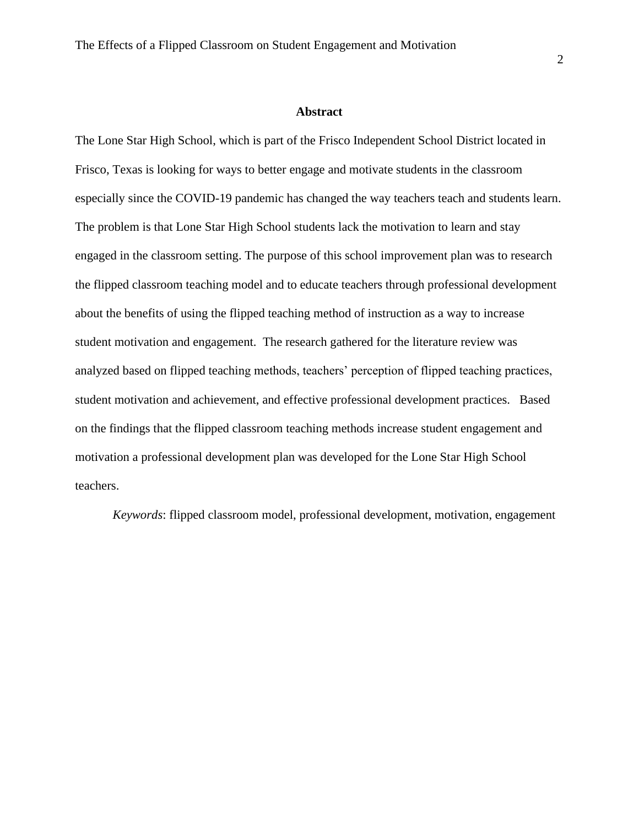#### **Abstract**

The Lone Star High School, which is part of the Frisco Independent School District located in Frisco, Texas is looking for ways to better engage and motivate students in the classroom especially since the COVID-19 pandemic has changed the way teachers teach and students learn. The problem is that Lone Star High School students lack the motivation to learn and stay engaged in the classroom setting. The purpose of this school improvement plan was to research the flipped classroom teaching model and to educate teachers through professional development about the benefits of using the flipped teaching method of instruction as a way to increase student motivation and engagement. The research gathered for the literature review was analyzed based on flipped teaching methods, teachers' perception of flipped teaching practices, student motivation and achievement, and effective professional development practices. Based on the findings that the flipped classroom teaching methods increase student engagement and motivation a professional development plan was developed for the Lone Star High School teachers.

 *Keywords*: flipped classroom model, professional development, motivation, engagement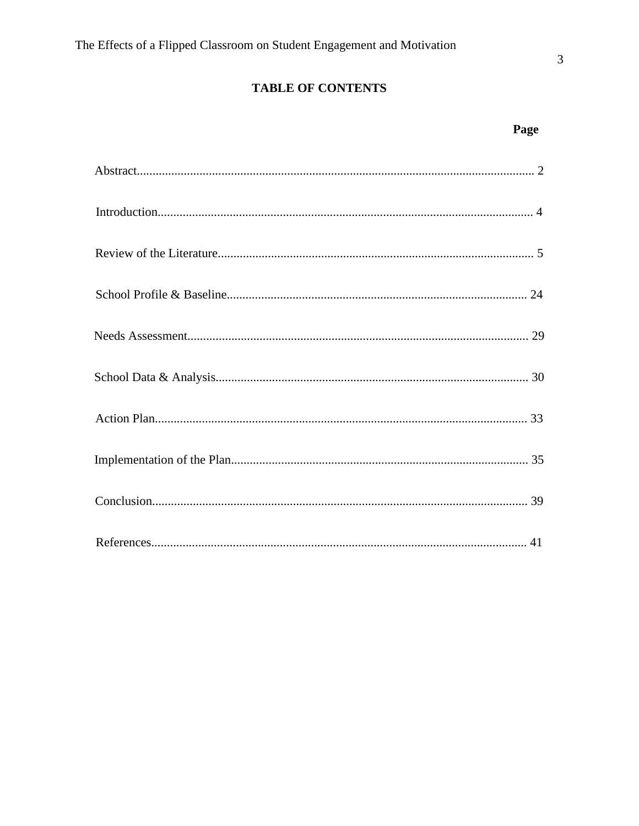# **TABLE OF CONTENTS**

Page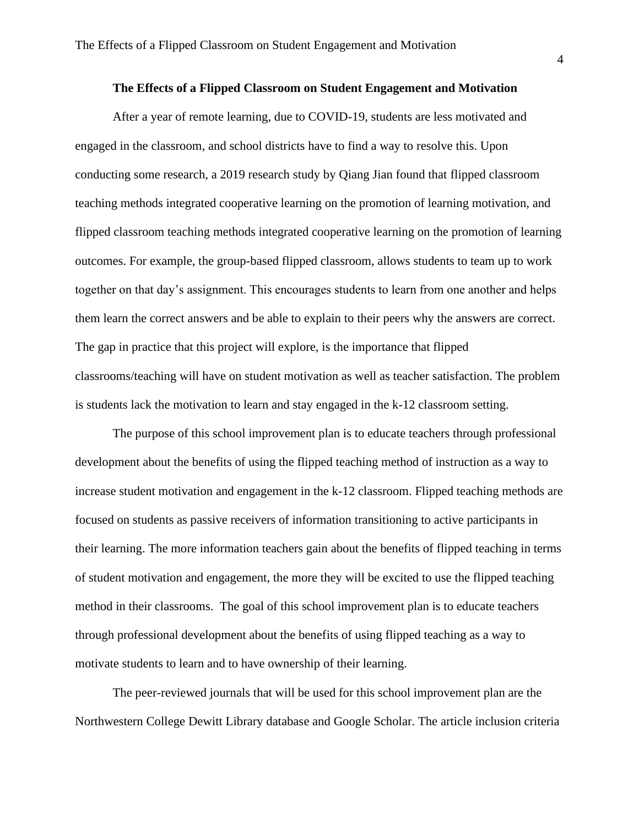#### **The Effects of a Flipped Classroom on Student Engagement and Motivation**

After a year of remote learning, due to COVID-19, students are less motivated and engaged in the classroom, and school districts have to find a way to resolve this. Upon conducting some research, a 2019 research study by Qiang Jian found that flipped classroom teaching methods integrated cooperative learning on the promotion of learning motivation, and flipped classroom teaching methods integrated cooperative learning on the promotion of learning outcomes. For example, the group-based flipped classroom, allows students to team up to work together on that day's assignment. This encourages students to learn from one another and helps them learn the correct answers and be able to explain to their peers why the answers are correct. The gap in practice that this project will explore, is the importance that flipped classrooms/teaching will have on student motivation as well as teacher satisfaction. The problem is students lack the motivation to learn and stay engaged in the k-12 classroom setting.

The purpose of this school improvement plan is to educate teachers through professional development about the benefits of using the flipped teaching method of instruction as a way to increase student motivation and engagement in the k-12 classroom. Flipped teaching methods are focused on students as passive receivers of information transitioning to active participants in their learning. The more information teachers gain about the benefits of flipped teaching in terms of student motivation and engagement, the more they will be excited to use the flipped teaching method in their classrooms. The goal of this school improvement plan is to educate teachers through professional development about the benefits of using flipped teaching as a way to motivate students to learn and to have ownership of their learning.

The peer-reviewed journals that will be used for this school improvement plan are the Northwestern College Dewitt Library database and Google Scholar. The article inclusion criteria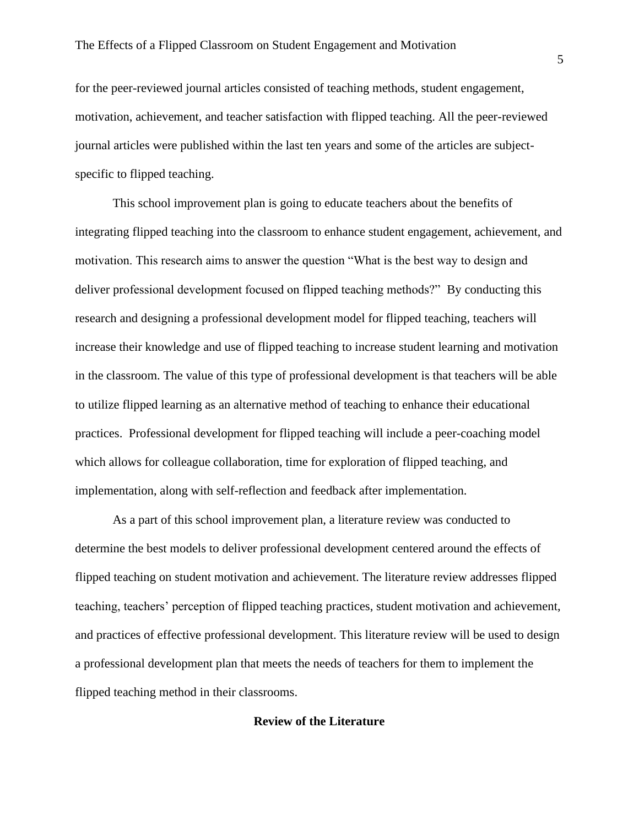for the peer-reviewed journal articles consisted of teaching methods, student engagement, motivation, achievement, and teacher satisfaction with flipped teaching. All the peer-reviewed journal articles were published within the last ten years and some of the articles are subjectspecific to flipped teaching.

This school improvement plan is going to educate teachers about the benefits of integrating flipped teaching into the classroom to enhance student engagement, achievement, and motivation. This research aims to answer the question "What is the best way to design and deliver professional development focused on flipped teaching methods?" By conducting this research and designing a professional development model for flipped teaching, teachers will increase their knowledge and use of flipped teaching to increase student learning and motivation in the classroom. The value of this type of professional development is that teachers will be able to utilize flipped learning as an alternative method of teaching to enhance their educational practices. Professional development for flipped teaching will include a peer-coaching model which allows for colleague collaboration, time for exploration of flipped teaching, and implementation, along with self-reflection and feedback after implementation.

As a part of this school improvement plan, a literature review was conducted to determine the best models to deliver professional development centered around the effects of flipped teaching on student motivation and achievement. The literature review addresses flipped teaching, teachers' perception of flipped teaching practices, student motivation and achievement, and practices of effective professional development. This literature review will be used to design a professional development plan that meets the needs of teachers for them to implement the flipped teaching method in their classrooms.

# **Review of the Literature**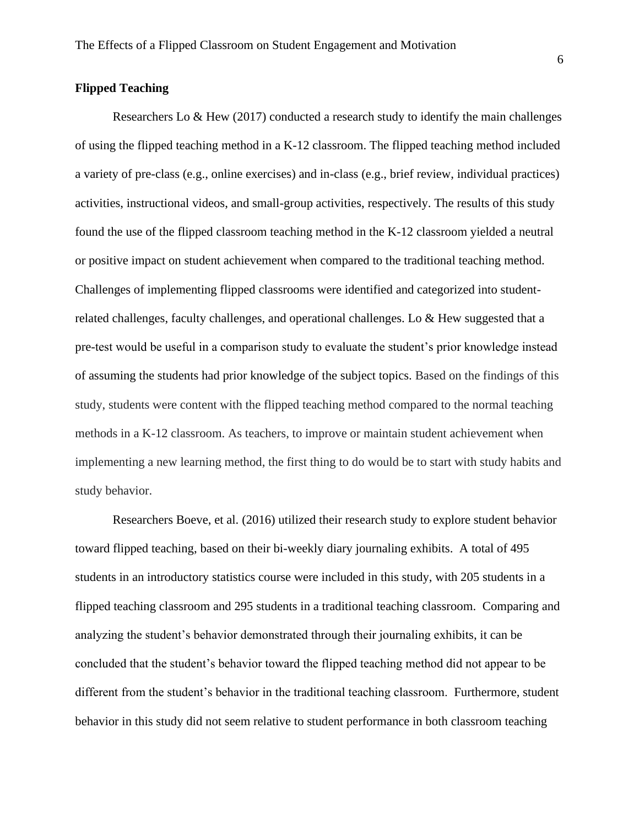# **Flipped Teaching**

Researchers Lo  $\&$  Hew (2017) conducted a research study to identify the main challenges of using the flipped teaching method in a K-12 classroom. The flipped teaching method included a variety of pre-class (e.g., online exercises) and in-class (e.g., brief review, individual practices) activities, instructional videos, and small-group activities, respectively. The results of this study found the use of the flipped classroom teaching method in the K-12 classroom yielded a neutral or positive impact on student achievement when compared to the traditional teaching method. Challenges of implementing flipped classrooms were identified and categorized into studentrelated challenges, faculty challenges, and operational challenges. Lo & Hew suggested that a pre-test would be useful in a comparison study to evaluate the student's prior knowledge instead of assuming the students had prior knowledge of the subject topics. Based on the findings of this study, students were content with the flipped teaching method compared to the normal teaching methods in a K-12 classroom. As teachers, to improve or maintain student achievement when implementing a new learning method, the first thing to do would be to start with study habits and study behavior.

Researchers Boeve, et al. (2016) utilized their research study to explore student behavior toward flipped teaching, based on their bi-weekly diary journaling exhibits. A total of 495 students in an introductory statistics course were included in this study, with 205 students in a flipped teaching classroom and 295 students in a traditional teaching classroom. Comparing and analyzing the student's behavior demonstrated through their journaling exhibits, it can be concluded that the student's behavior toward the flipped teaching method did not appear to be different from the student's behavior in the traditional teaching classroom. Furthermore, student behavior in this study did not seem relative to student performance in both classroom teaching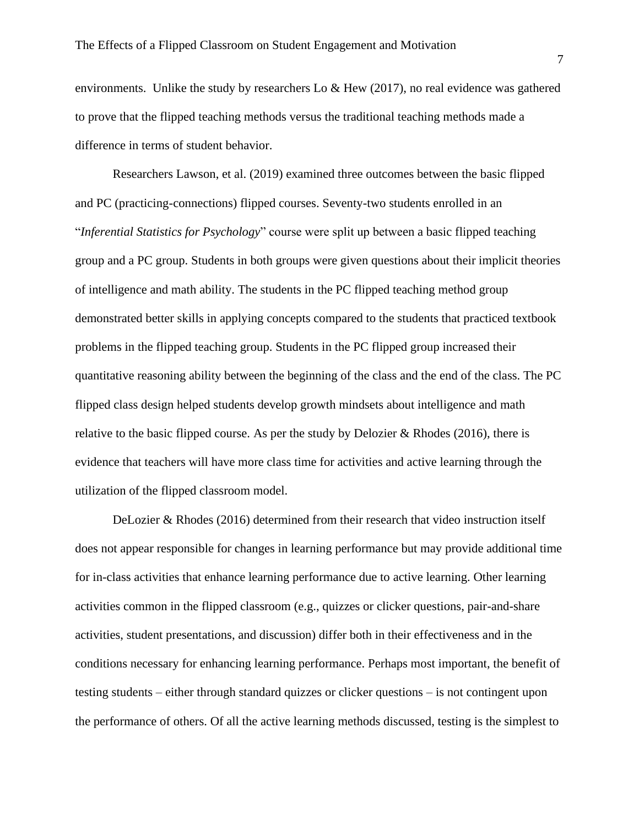environments. Unlike the study by researchers Lo  $\&$  Hew (2017), no real evidence was gathered to prove that the flipped teaching methods versus the traditional teaching methods made a difference in terms of student behavior.

Researchers Lawson, et al. (2019) examined three outcomes between the basic flipped and PC (practicing-connections) flipped courses. Seventy-two students enrolled in an "*Inferential Statistics for Psychology*" course were split up between a basic flipped teaching group and a PC group. Students in both groups were given questions about their implicit theories of intelligence and math ability. The students in the PC flipped teaching method group demonstrated better skills in applying concepts compared to the students that practiced textbook problems in the flipped teaching group. Students in the PC flipped group increased their quantitative reasoning ability between the beginning of the class and the end of the class. The PC flipped class design helped students develop growth mindsets about intelligence and math relative to the basic flipped course. As per the study by Delozier & Rhodes (2016), there is evidence that teachers will have more class time for activities and active learning through the utilization of the flipped classroom model.

DeLozier & Rhodes (2016) determined from their research that video instruction itself does not appear responsible for changes in learning performance but may provide additional time for in-class activities that enhance learning performance due to active learning. Other learning activities common in the flipped classroom (e.g., quizzes or clicker questions, pair-and-share activities, student presentations, and discussion) differ both in their effectiveness and in the conditions necessary for enhancing learning performance. Perhaps most important, the benefit of testing students – either through standard quizzes or clicker questions – is not contingent upon the performance of others. Of all the active learning methods discussed, testing is the simplest to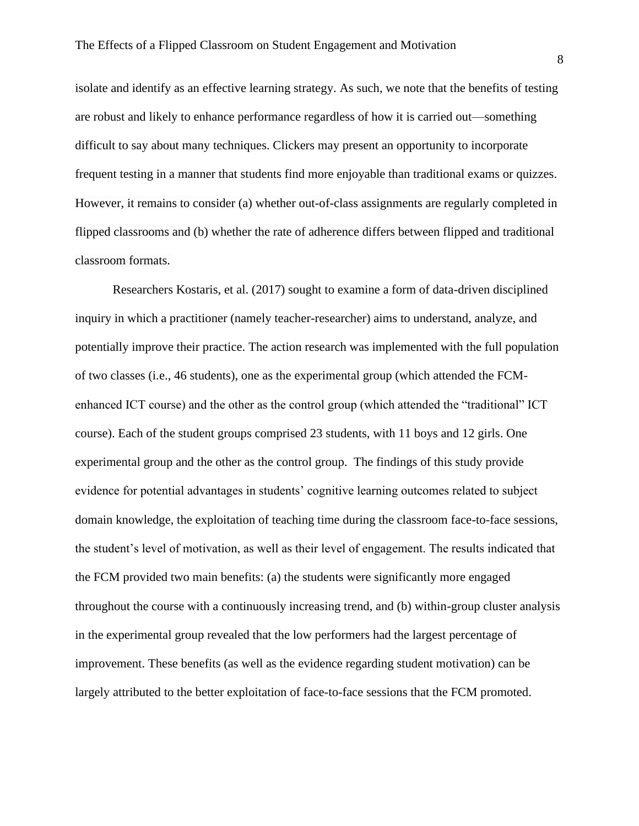isolate and identify as an effective learning strategy. As such, we note that the benefits of testing are robust and likely to enhance performance regardless of how it is carried out—something difficult to say about many techniques. Clickers may present an opportunity to incorporate frequent testing in a manner that students find more enjoyable than traditional exams or quizzes. However, it remains to consider (a) whether out-of-class assignments are regularly completed in flipped classrooms and (b) whether the rate of adherence differs between flipped and traditional classroom formats.

Researchers Kostaris, et al. (2017) sought to examine a form of data-driven disciplined inquiry in which a practitioner (namely teacher-researcher) aims to understand, analyze, and potentially improve their practice. The action research was implemented with the full population of two classes (i.e., 46 students), one as the experimental group (which attended the FCMenhanced ICT course) and the other as the control group (which attended the "traditional" ICT course). Each of the student groups comprised 23 students, with 11 boys and 12 girls. One experimental group and the other as the control group. The findings of this study provide evidence for potential advantages in students' cognitive learning outcomes related to subject domain knowledge, the exploitation of teaching time during the classroom face-to-face sessions, the student's level of motivation, as well as their level of engagement. The results indicated that the FCM provided two main benefits: (a) the students were significantly more engaged throughout the course with a continuously increasing trend, and (b) within-group cluster analysis in the experimental group revealed that the low performers had the largest percentage of improvement. These benefits (as well as the evidence regarding student motivation) can be largely attributed to the better exploitation of face-to-face sessions that the FCM promoted.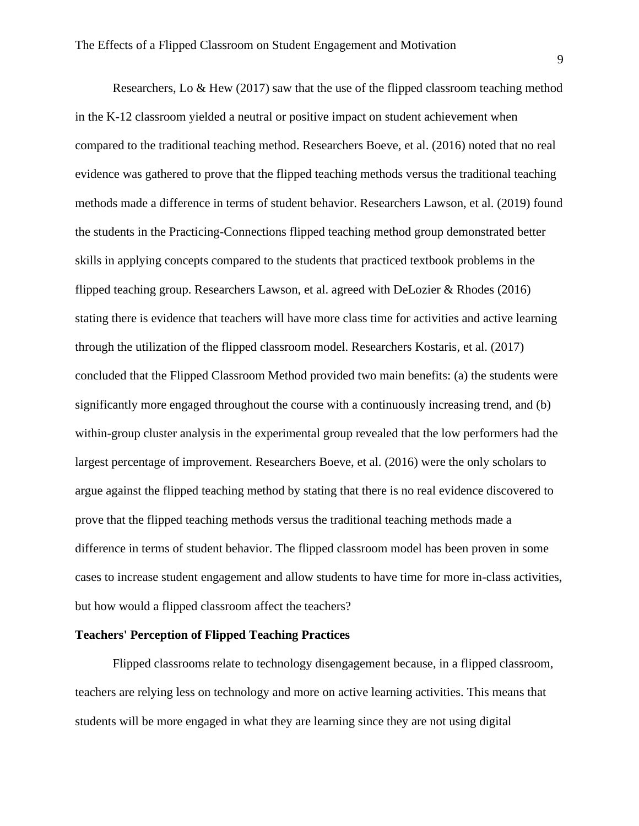Researchers, Lo  $\&$  Hew (2017) saw that the use of the flipped classroom teaching method in the K-12 classroom yielded a neutral or positive impact on student achievement when compared to the traditional teaching method. Researchers Boeve, et al. (2016) noted that no real evidence was gathered to prove that the flipped teaching methods versus the traditional teaching methods made a difference in terms of student behavior. Researchers Lawson, et al. (2019) found the students in the Practicing-Connections flipped teaching method group demonstrated better skills in applying concepts compared to the students that practiced textbook problems in the flipped teaching group. Researchers Lawson, et al. agreed with DeLozier & Rhodes (2016) stating there is evidence that teachers will have more class time for activities and active learning through the utilization of the flipped classroom model. Researchers Kostaris, et al. (2017) concluded that the Flipped Classroom Method provided two main benefits: (a) the students were significantly more engaged throughout the course with a continuously increasing trend, and (b) within-group cluster analysis in the experimental group revealed that the low performers had the largest percentage of improvement. Researchers Boeve, et al. (2016) were the only scholars to argue against the flipped teaching method by stating that there is no real evidence discovered to prove that the flipped teaching methods versus the traditional teaching methods made a difference in terms of student behavior. The flipped classroom model has been proven in some cases to increase student engagement and allow students to have time for more in-class activities, but how would a flipped classroom affect the teachers?

# **Teachers' Perception of Flipped Teaching Practices**

Flipped classrooms relate to technology disengagement because, in a flipped classroom, teachers are relying less on technology and more on active learning activities. This means that students will be more engaged in what they are learning since they are not using digital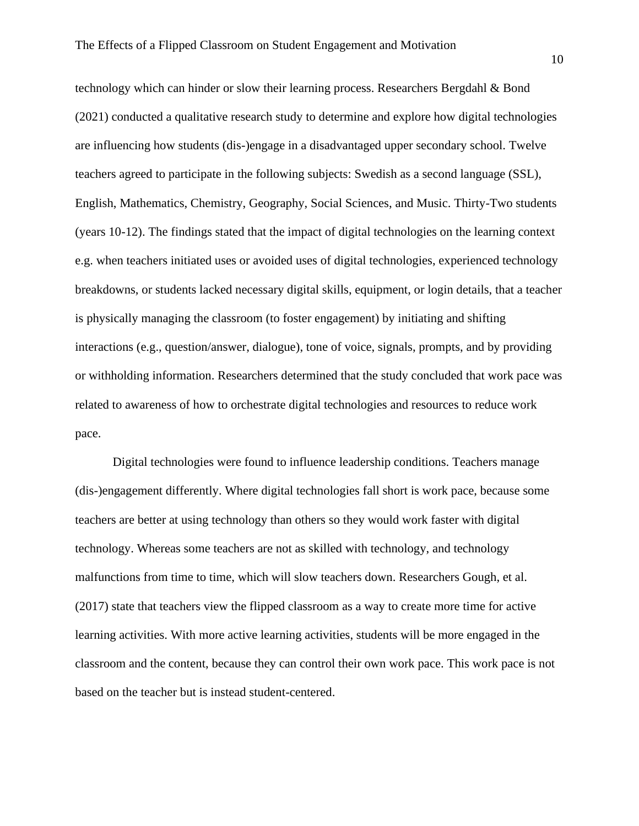technology which can hinder or slow their learning process. Researchers Bergdahl & Bond (2021) conducted a qualitative research study to determine and explore how digital technologies are influencing how students (dis-)engage in a disadvantaged upper secondary school. Twelve teachers agreed to participate in the following subjects: Swedish as a second language (SSL), English, Mathematics, Chemistry, Geography, Social Sciences, and Music. Thirty-Two students (years 10-12). The findings stated that the impact of digital technologies on the learning context e.g. when teachers initiated uses or avoided uses of digital technologies, experienced technology breakdowns, or students lacked necessary digital skills, equipment, or login details, that a teacher is physically managing the classroom (to foster engagement) by initiating and shifting interactions (e.g., question/answer, dialogue), tone of voice, signals, prompts, and by providing or withholding information. Researchers determined that the study concluded that work pace was related to awareness of how to orchestrate digital technologies and resources to reduce work pace.

Digital technologies were found to influence leadership conditions. Teachers manage (dis-)engagement differently. Where digital technologies fall short is work pace, because some teachers are better at using technology than others so they would work faster with digital technology. Whereas some teachers are not as skilled with technology, and technology malfunctions from time to time, which will slow teachers down. Researchers Gough, et al. (2017) state that teachers view the flipped classroom as a way to create more time for active learning activities. With more active learning activities, students will be more engaged in the classroom and the content, because they can control their own work pace. This work pace is not based on the teacher but is instead student-centered.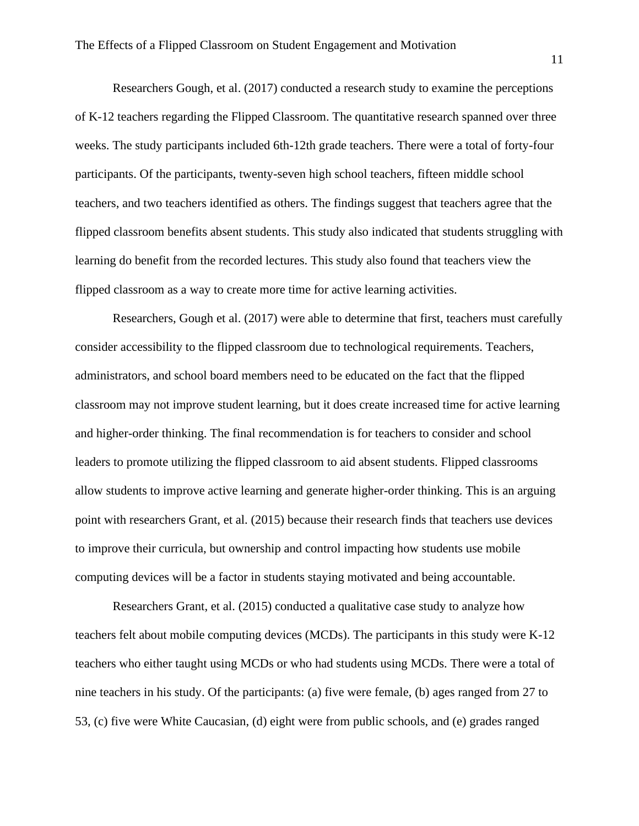Researchers Gough, et al. (2017) conducted a research study to examine the perceptions of K-12 teachers regarding the Flipped Classroom. The quantitative research spanned over three weeks. The study participants included 6th-12th grade teachers. There were a total of forty-four participants. Of the participants, twenty-seven high school teachers, fifteen middle school teachers, and two teachers identified as others. The findings suggest that teachers agree that the flipped classroom benefits absent students. This study also indicated that students struggling with learning do benefit from the recorded lectures. This study also found that teachers view the flipped classroom as a way to create more time for active learning activities.

Researchers, Gough et al. (2017) were able to determine that first, teachers must carefully consider accessibility to the flipped classroom due to technological requirements. Teachers, administrators, and school board members need to be educated on the fact that the flipped classroom may not improve student learning, but it does create increased time for active learning and higher-order thinking. The final recommendation is for teachers to consider and school leaders to promote utilizing the flipped classroom to aid absent students. Flipped classrooms allow students to improve active learning and generate higher-order thinking. This is an arguing point with researchers Grant, et al. (2015) because their research finds that teachers use devices to improve their curricula, but ownership and control impacting how students use mobile computing devices will be a factor in students staying motivated and being accountable.

Researchers Grant, et al. (2015) conducted a qualitative case study to analyze how teachers felt about mobile computing devices (MCDs). The participants in this study were K-12 teachers who either taught using MCDs or who had students using MCDs. There were a total of nine teachers in his study. Of the participants: (a) five were female, (b) ages ranged from 27 to 53, (c) five were White Caucasian, (d) eight were from public schools, and (e) grades ranged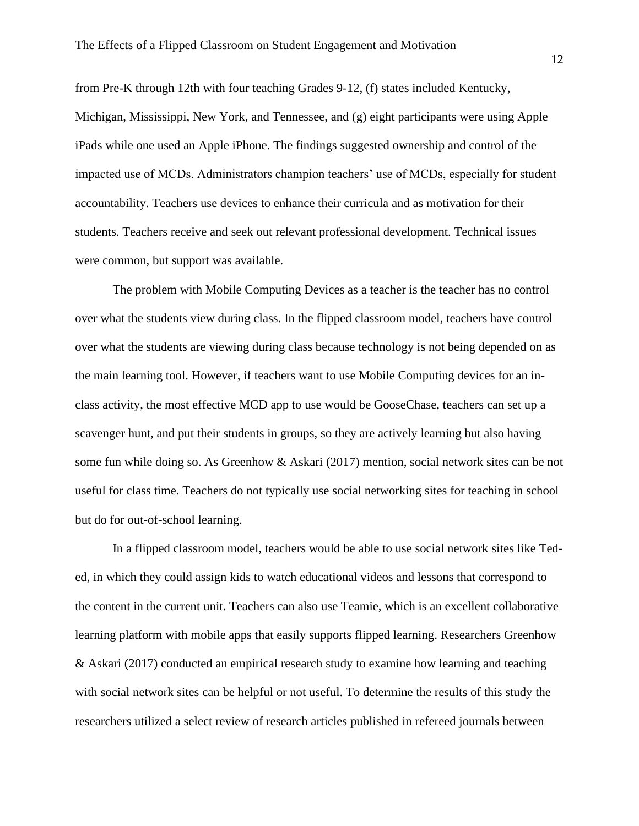from Pre-K through 12th with four teaching Grades 9-12, (f) states included Kentucky, Michigan, Mississippi, New York, and Tennessee, and (g) eight participants were using Apple iPads while one used an Apple iPhone. The findings suggested ownership and control of the impacted use of MCDs. Administrators champion teachers' use of MCDs, especially for student accountability. Teachers use devices to enhance their curricula and as motivation for their students. Teachers receive and seek out relevant professional development. Technical issues were common, but support was available.

The problem with Mobile Computing Devices as a teacher is the teacher has no control over what the students view during class. In the flipped classroom model, teachers have control over what the students are viewing during class because technology is not being depended on as the main learning tool. However, if teachers want to use Mobile Computing devices for an inclass activity, the most effective MCD app to use would be GooseChase, teachers can set up a scavenger hunt, and put their students in groups, so they are actively learning but also having some fun while doing so. As Greenhow & Askari (2017) mention, social network sites can be not useful for class time. Teachers do not typically use social networking sites for teaching in school but do for out-of-school learning.

In a flipped classroom model, teachers would be able to use social network sites like Teded, in which they could assign kids to watch educational videos and lessons that correspond to the content in the current unit. Teachers can also use Teamie, which is an excellent collaborative learning platform with mobile apps that easily supports flipped learning. Researchers Greenhow & Askari (2017) conducted an empirical research study to examine how learning and teaching with social network sites can be helpful or not useful. To determine the results of this study the researchers utilized a select review of research articles published in refereed journals between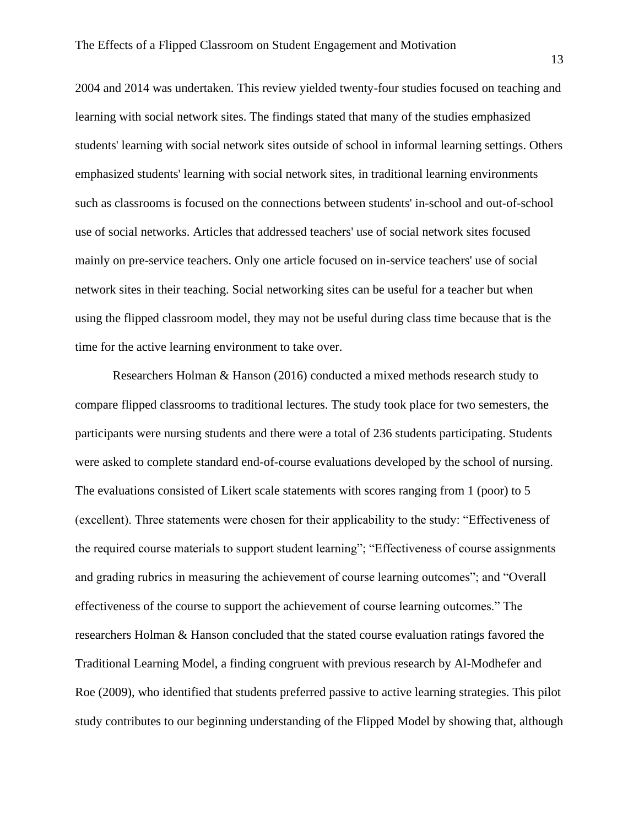2004 and 2014 was undertaken. This review yielded twenty-four studies focused on teaching and learning with social network sites. The findings stated that many of the studies emphasized students' learning with social network sites outside of school in informal learning settings. Others emphasized students' learning with social network sites, in traditional learning environments such as classrooms is focused on the connections between students' in-school and out-of-school use of social networks. Articles that addressed teachers' use of social network sites focused mainly on pre-service teachers. Only one article focused on in-service teachers' use of social network sites in their teaching. Social networking sites can be useful for a teacher but when using the flipped classroom model, they may not be useful during class time because that is the time for the active learning environment to take over.

Researchers Holman & Hanson (2016) conducted a mixed methods research study to compare flipped classrooms to traditional lectures. The study took place for two semesters, the participants were nursing students and there were a total of 236 students participating. Students were asked to complete standard end-of-course evaluations developed by the school of nursing. The evaluations consisted of Likert scale statements with scores ranging from 1 (poor) to 5 (excellent). Three statements were chosen for their applicability to the study: "Effectiveness of the required course materials to support student learning"; "Effectiveness of course assignments and grading rubrics in measuring the achievement of course learning outcomes"; and "Overall effectiveness of the course to support the achievement of course learning outcomes." The researchers Holman & Hanson concluded that the stated course evaluation ratings favored the Traditional Learning Model, a finding congruent with previous research by Al-Modhefer and Roe (2009), who identified that students preferred passive to active learning strategies. This pilot study contributes to our beginning understanding of the Flipped Model by showing that, although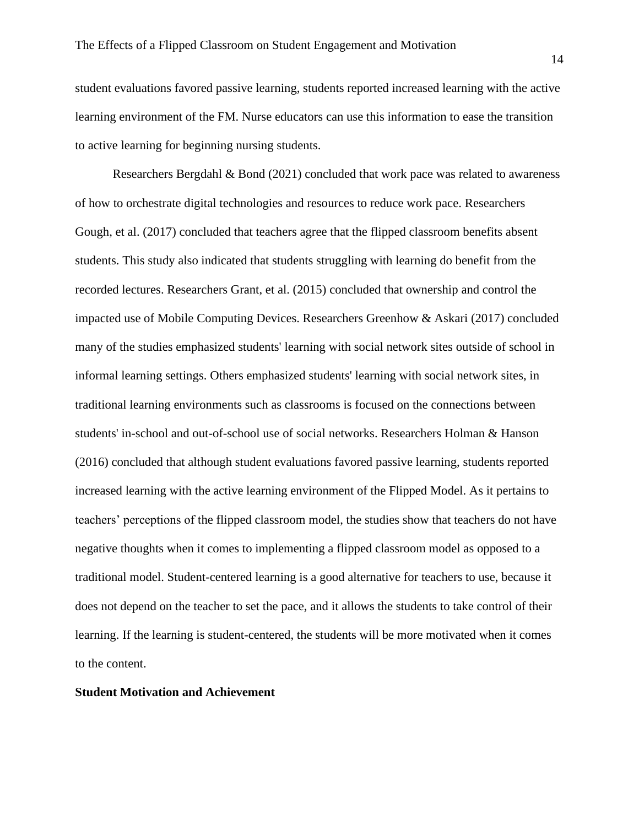student evaluations favored passive learning, students reported increased learning with the active learning environment of the FM. Nurse educators can use this information to ease the transition to active learning for beginning nursing students.

Researchers Bergdahl & Bond (2021) concluded that work pace was related to awareness of how to orchestrate digital technologies and resources to reduce work pace. Researchers Gough, et al. (2017) concluded that teachers agree that the flipped classroom benefits absent students. This study also indicated that students struggling with learning do benefit from the recorded lectures. Researchers Grant, et al. (2015) concluded that ownership and control the impacted use of Mobile Computing Devices. Researchers Greenhow & Askari (2017) concluded many of the studies emphasized students' learning with social network sites outside of school in informal learning settings. Others emphasized students' learning with social network sites, in traditional learning environments such as classrooms is focused on the connections between students' in-school and out-of-school use of social networks. Researchers Holman & Hanson (2016) concluded that although student evaluations favored passive learning, students reported increased learning with the active learning environment of the Flipped Model. As it pertains to teachers' perceptions of the flipped classroom model, the studies show that teachers do not have negative thoughts when it comes to implementing a flipped classroom model as opposed to a traditional model. Student-centered learning is a good alternative for teachers to use, because it does not depend on the teacher to set the pace, and it allows the students to take control of their learning. If the learning is student-centered, the students will be more motivated when it comes to the content.

#### **Student Motivation and Achievement**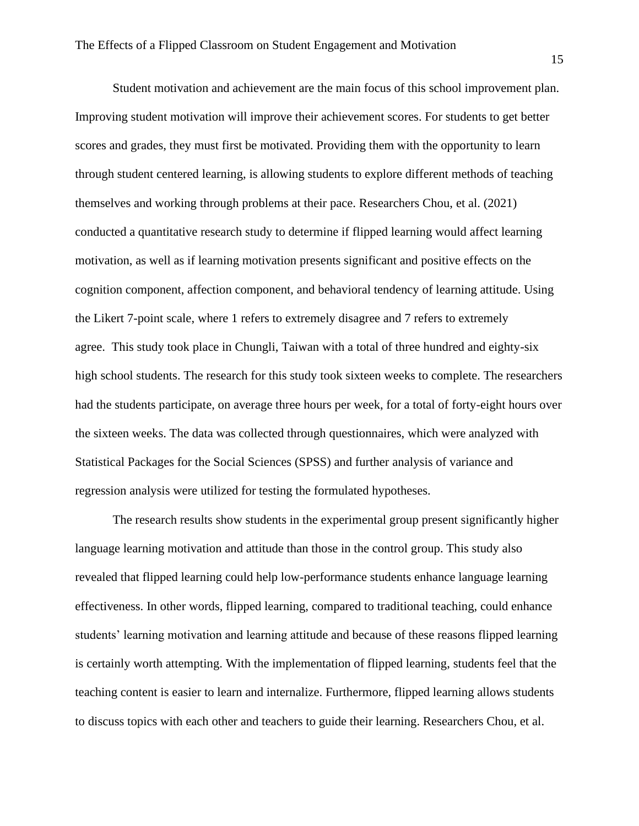Student motivation and achievement are the main focus of this school improvement plan. Improving student motivation will improve their achievement scores. For students to get better scores and grades, they must first be motivated. Providing them with the opportunity to learn through student centered learning, is allowing students to explore different methods of teaching themselves and working through problems at their pace. Researchers Chou, et al. (2021) conducted a quantitative research study to determine if flipped learning would affect learning motivation, as well as if learning motivation presents significant and positive effects on the cognition component, affection component, and behavioral tendency of learning attitude. Using the Likert 7-point scale, where 1 refers to extremely disagree and 7 refers to extremely agree. This study took place in Chungli, Taiwan with a total of three hundred and eighty-six high school students. The research for this study took sixteen weeks to complete. The researchers had the students participate, on average three hours per week, for a total of forty-eight hours over the sixteen weeks. The data was collected through questionnaires, which were analyzed with Statistical Packages for the Social Sciences (SPSS) and further analysis of variance and regression analysis were utilized for testing the formulated hypotheses.

The research results show students in the experimental group present significantly higher language learning motivation and attitude than those in the control group. This study also revealed that flipped learning could help low-performance students enhance language learning effectiveness. In other words, flipped learning, compared to traditional teaching, could enhance students' learning motivation and learning attitude and because of these reasons flipped learning is certainly worth attempting. With the implementation of flipped learning, students feel that the teaching content is easier to learn and internalize. Furthermore, flipped learning allows students to discuss topics with each other and teachers to guide their learning. Researchers Chou, et al.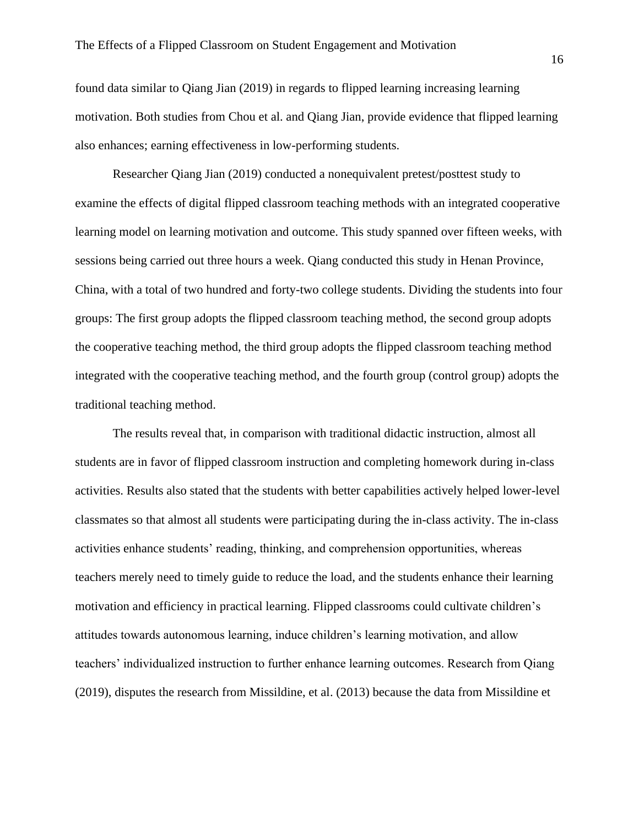found data similar to Qiang Jian (2019) in regards to flipped learning increasing learning motivation. Both studies from Chou et al. and Qiang Jian, provide evidence that flipped learning also enhances; earning effectiveness in low-performing students.

Researcher Qiang Jian (2019) conducted a nonequivalent pretest/posttest study to examine the effects of digital flipped classroom teaching methods with an integrated cooperative learning model on learning motivation and outcome. This study spanned over fifteen weeks, with sessions being carried out three hours a week. Qiang conducted this study in Henan Province, China, with a total of two hundred and forty-two college students. Dividing the students into four groups: The first group adopts the flipped classroom teaching method, the second group adopts the cooperative teaching method, the third group adopts the flipped classroom teaching method integrated with the cooperative teaching method, and the fourth group (control group) adopts the traditional teaching method.

The results reveal that, in comparison with traditional didactic instruction, almost all students are in favor of flipped classroom instruction and completing homework during in-class activities. Results also stated that the students with better capabilities actively helped lower-level classmates so that almost all students were participating during the in-class activity. The in-class activities enhance students' reading, thinking, and comprehension opportunities, whereas teachers merely need to timely guide to reduce the load, and the students enhance their learning motivation and efficiency in practical learning. Flipped classrooms could cultivate children's attitudes towards autonomous learning, induce children's learning motivation, and allow teachers' individualized instruction to further enhance learning outcomes. Research from Qiang (2019), disputes the research from Missildine, et al. (2013) because the data from Missildine et

16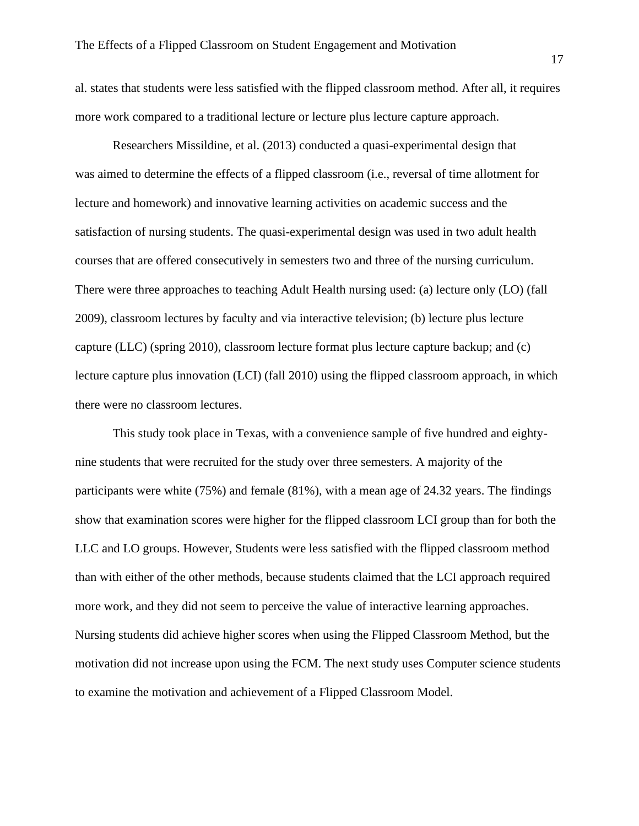al. states that students were less satisfied with the flipped classroom method. After all, it requires more work compared to a traditional lecture or lecture plus lecture capture approach.

Researchers Missildine, et al. (2013) conducted a quasi-experimental design that was aimed to determine the effects of a flipped classroom (i.e., reversal of time allotment for lecture and homework) and innovative learning activities on academic success and the satisfaction of nursing students. The quasi-experimental design was used in two adult health courses that are offered consecutively in semesters two and three of the nursing curriculum. There were three approaches to teaching Adult Health nursing used: (a) lecture only (LO) (fall 2009), classroom lectures by faculty and via interactive television; (b) lecture plus lecture capture (LLC) (spring 2010), classroom lecture format plus lecture capture backup; and (c) lecture capture plus innovation (LCI) (fall 2010) using the flipped classroom approach, in which there were no classroom lectures.

This study took place in Texas, with a convenience sample of five hundred and eightynine students that were recruited for the study over three semesters. A majority of the participants were white (75%) and female (81%), with a mean age of 24.32 years. The findings show that examination scores were higher for the flipped classroom LCI group than for both the LLC and LO groups. However, Students were less satisfied with the flipped classroom method than with either of the other methods, because students claimed that the LCI approach required more work, and they did not seem to perceive the value of interactive learning approaches. Nursing students did achieve higher scores when using the Flipped Classroom Method, but the motivation did not increase upon using the FCM. The next study uses Computer science students to examine the motivation and achievement of a Flipped Classroom Model.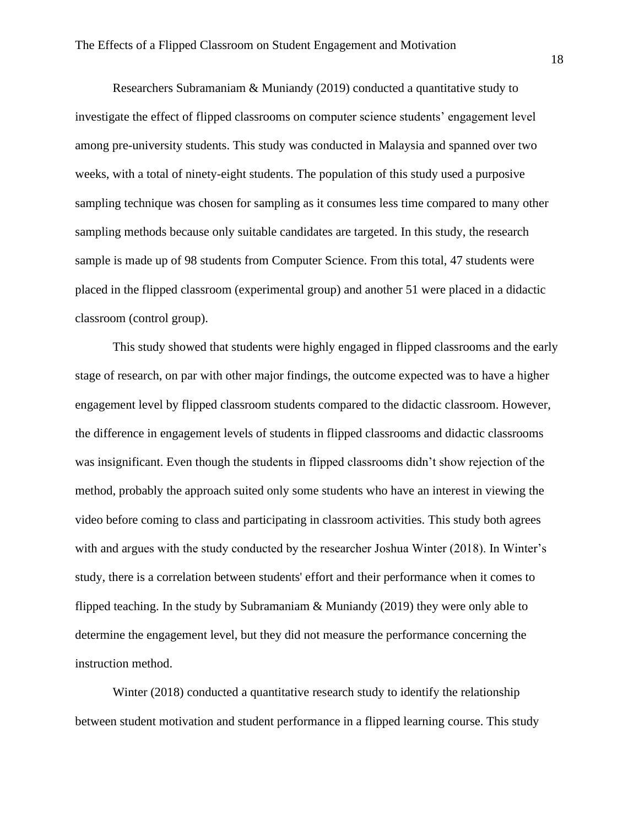Researchers Subramaniam & Muniandy (2019) conducted a quantitative study to investigate the effect of flipped classrooms on computer science students' engagement level among pre-university students. This study was conducted in Malaysia and spanned over two weeks, with a total of ninety-eight students. The population of this study used a purposive sampling technique was chosen for sampling as it consumes less time compared to many other sampling methods because only suitable candidates are targeted. In this study, the research sample is made up of 98 students from Computer Science. From this total, 47 students were placed in the flipped classroom (experimental group) and another 51 were placed in a didactic classroom (control group).

This study showed that students were highly engaged in flipped classrooms and the early stage of research, on par with other major findings, the outcome expected was to have a higher engagement level by flipped classroom students compared to the didactic classroom. However, the difference in engagement levels of students in flipped classrooms and didactic classrooms was insignificant. Even though the students in flipped classrooms didn't show rejection of the method, probably the approach suited only some students who have an interest in viewing the video before coming to class and participating in classroom activities. This study both agrees with and argues with the study conducted by the researcher Joshua Winter (2018). In Winter's study, there is a correlation between students' effort and their performance when it comes to flipped teaching. In the study by Subramaniam & Muniandy (2019) they were only able to determine the engagement level, but they did not measure the performance concerning the instruction method.

Winter (2018) conducted a quantitative research study to identify the relationship between student motivation and student performance in a flipped learning course. This study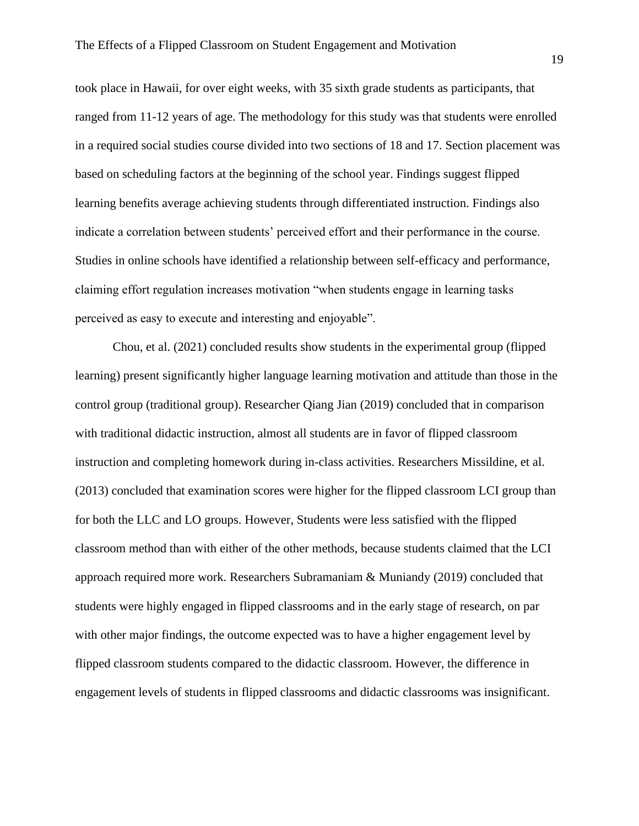took place in Hawaii, for over eight weeks, with 35 sixth grade students as participants, that ranged from 11-12 years of age. The methodology for this study was that students were enrolled in a required social studies course divided into two sections of 18 and 17. Section placement was based on scheduling factors at the beginning of the school year. Findings suggest flipped learning benefits average achieving students through differentiated instruction. Findings also indicate a correlation between students' perceived effort and their performance in the course. Studies in online schools have identified a relationship between self-efficacy and performance, claiming effort regulation increases motivation "when students engage in learning tasks perceived as easy to execute and interesting and enjoyable".

Chou, et al. (2021) concluded results show students in the experimental group (flipped learning) present significantly higher language learning motivation and attitude than those in the control group (traditional group). Researcher Qiang Jian (2019) concluded that in comparison with traditional didactic instruction, almost all students are in favor of flipped classroom instruction and completing homework during in-class activities. Researchers Missildine, et al. (2013) concluded that examination scores were higher for the flipped classroom LCI group than for both the LLC and LO groups. However, Students were less satisfied with the flipped classroom method than with either of the other methods, because students claimed that the LCI approach required more work. Researchers Subramaniam & Muniandy (2019) concluded that students were highly engaged in flipped classrooms and in the early stage of research, on par with other major findings, the outcome expected was to have a higher engagement level by flipped classroom students compared to the didactic classroom. However, the difference in engagement levels of students in flipped classrooms and didactic classrooms was insignificant.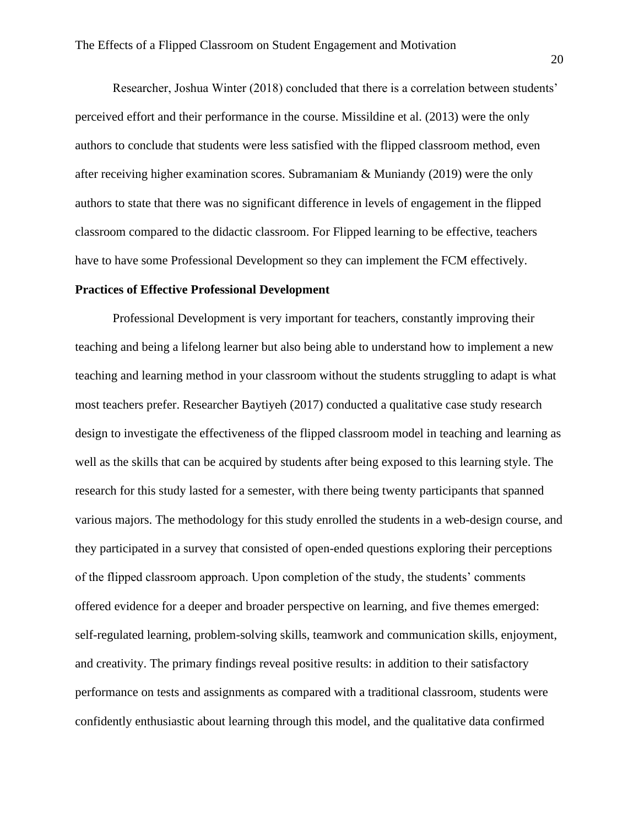Researcher, Joshua Winter (2018) concluded that there is a correlation between students' perceived effort and their performance in the course. Missildine et al. (2013) were the only authors to conclude that students were less satisfied with the flipped classroom method, even after receiving higher examination scores. Subramaniam & Muniandy (2019) were the only authors to state that there was no significant difference in levels of engagement in the flipped classroom compared to the didactic classroom. For Flipped learning to be effective, teachers have to have some Professional Development so they can implement the FCM effectively.

#### **Practices of Effective Professional Development**

Professional Development is very important for teachers, constantly improving their teaching and being a lifelong learner but also being able to understand how to implement a new teaching and learning method in your classroom without the students struggling to adapt is what most teachers prefer. Researcher Baytiyeh (2017) conducted a qualitative case study research design to investigate the effectiveness of the flipped classroom model in teaching and learning as well as the skills that can be acquired by students after being exposed to this learning style. The research for this study lasted for a semester, with there being twenty participants that spanned various majors. The methodology for this study enrolled the students in a web-design course, and they participated in a survey that consisted of open-ended questions exploring their perceptions of the flipped classroom approach. Upon completion of the study, the students' comments offered evidence for a deeper and broader perspective on learning, and five themes emerged: self-regulated learning, problem-solving skills, teamwork and communication skills, enjoyment, and creativity. The primary findings reveal positive results: in addition to their satisfactory performance on tests and assignments as compared with a traditional classroom, students were confidently enthusiastic about learning through this model, and the qualitative data confirmed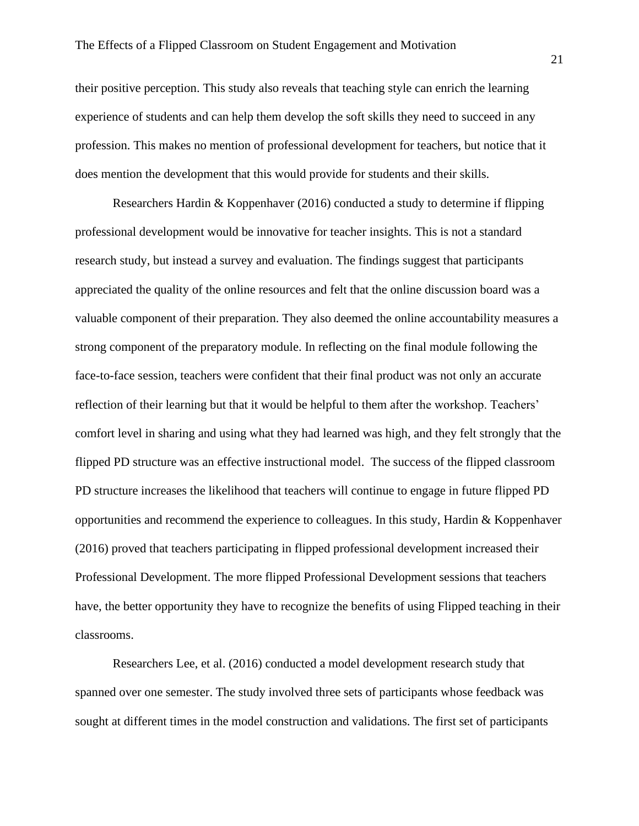their positive perception. This study also reveals that teaching style can enrich the learning experience of students and can help them develop the soft skills they need to succeed in any profession. This makes no mention of professional development for teachers, but notice that it does mention the development that this would provide for students and their skills.

Researchers Hardin & Koppenhaver (2016) conducted a study to determine if flipping professional development would be innovative for teacher insights. This is not a standard research study, but instead a survey and evaluation. The findings suggest that participants appreciated the quality of the online resources and felt that the online discussion board was a valuable component of their preparation. They also deemed the online accountability measures a strong component of the preparatory module. In reflecting on the final module following the face-to-face session, teachers were confident that their final product was not only an accurate reflection of their learning but that it would be helpful to them after the workshop. Teachers' comfort level in sharing and using what they had learned was high, and they felt strongly that the flipped PD structure was an effective instructional model. The success of the flipped classroom PD structure increases the likelihood that teachers will continue to engage in future flipped PD opportunities and recommend the experience to colleagues. In this study, Hardin  $\&$  Koppenhaver (2016) proved that teachers participating in flipped professional development increased their Professional Development. The more flipped Professional Development sessions that teachers have, the better opportunity they have to recognize the benefits of using Flipped teaching in their classrooms.

Researchers Lee, et al. (2016) conducted a model development research study that spanned over one semester. The study involved three sets of participants whose feedback was sought at different times in the model construction and validations. The first set of participants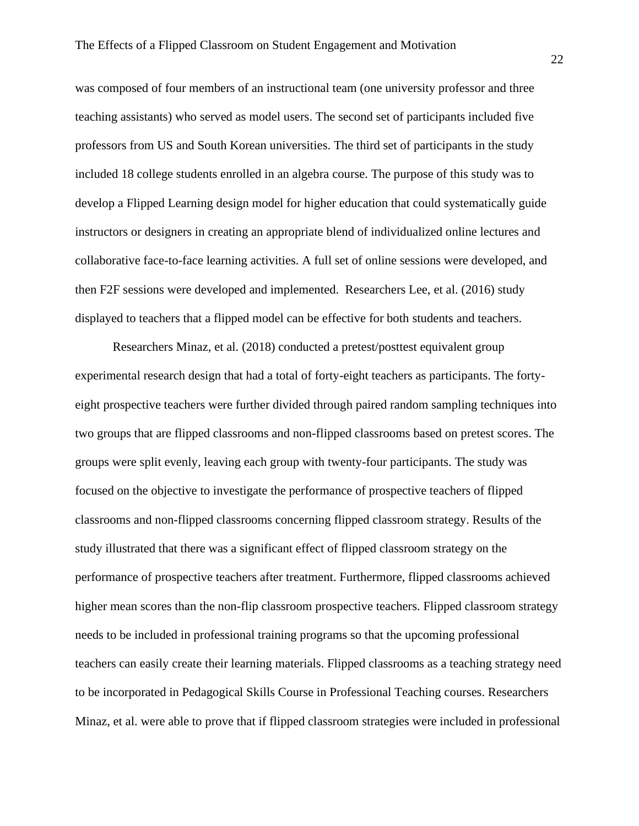was composed of four members of an instructional team (one university professor and three teaching assistants) who served as model users. The second set of participants included five professors from US and South Korean universities. The third set of participants in the study included 18 college students enrolled in an algebra course. The purpose of this study was to develop a Flipped Learning design model for higher education that could systematically guide instructors or designers in creating an appropriate blend of individualized online lectures and collaborative face-to-face learning activities. A full set of online sessions were developed, and then F2F sessions were developed and implemented. Researchers Lee, et al. (2016) study displayed to teachers that a flipped model can be effective for both students and teachers.

Researchers Minaz, et al. (2018) conducted a pretest/posttest equivalent group experimental research design that had a total of forty-eight teachers as participants. The fortyeight prospective teachers were further divided through paired random sampling techniques into two groups that are flipped classrooms and non-flipped classrooms based on pretest scores. The groups were split evenly, leaving each group with twenty-four participants. The study was focused on the objective to investigate the performance of prospective teachers of flipped classrooms and non-flipped classrooms concerning flipped classroom strategy. Results of the study illustrated that there was a significant effect of flipped classroom strategy on the performance of prospective teachers after treatment. Furthermore, flipped classrooms achieved higher mean scores than the non-flip classroom prospective teachers. Flipped classroom strategy needs to be included in professional training programs so that the upcoming professional teachers can easily create their learning materials. Flipped classrooms as a teaching strategy need to be incorporated in Pedagogical Skills Course in Professional Teaching courses. Researchers Minaz, et al. were able to prove that if flipped classroom strategies were included in professional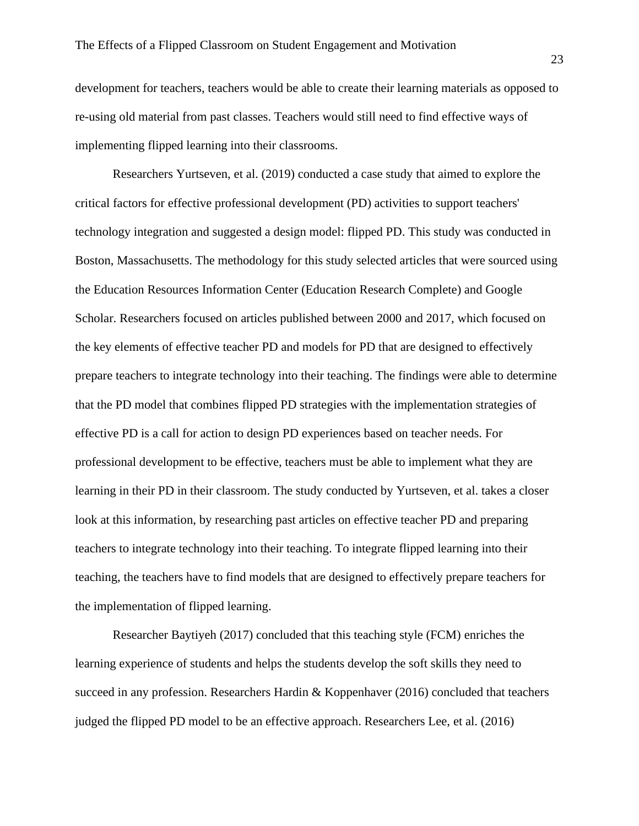development for teachers, teachers would be able to create their learning materials as opposed to re-using old material from past classes. Teachers would still need to find effective ways of implementing flipped learning into their classrooms.

Researchers Yurtseven, et al. (2019) conducted a case study that aimed to explore the critical factors for effective professional development (PD) activities to support teachers' technology integration and suggested a design model: flipped PD. This study was conducted in Boston, Massachusetts. The methodology for this study selected articles that were sourced using the Education Resources Information Center (Education Research Complete) and Google Scholar. Researchers focused on articles published between 2000 and 2017, which focused on the key elements of effective teacher PD and models for PD that are designed to effectively prepare teachers to integrate technology into their teaching. The findings were able to determine that the PD model that combines flipped PD strategies with the implementation strategies of effective PD is a call for action to design PD experiences based on teacher needs. For professional development to be effective, teachers must be able to implement what they are learning in their PD in their classroom. The study conducted by Yurtseven, et al. takes a closer look at this information, by researching past articles on effective teacher PD and preparing teachers to integrate technology into their teaching. To integrate flipped learning into their teaching, the teachers have to find models that are designed to effectively prepare teachers for the implementation of flipped learning.

Researcher Baytiyeh (2017) concluded that this teaching style (FCM) enriches the learning experience of students and helps the students develop the soft skills they need to succeed in any profession. Researchers Hardin & Koppenhaver (2016) concluded that teachers judged the flipped PD model to be an effective approach. Researchers Lee, et al. (2016)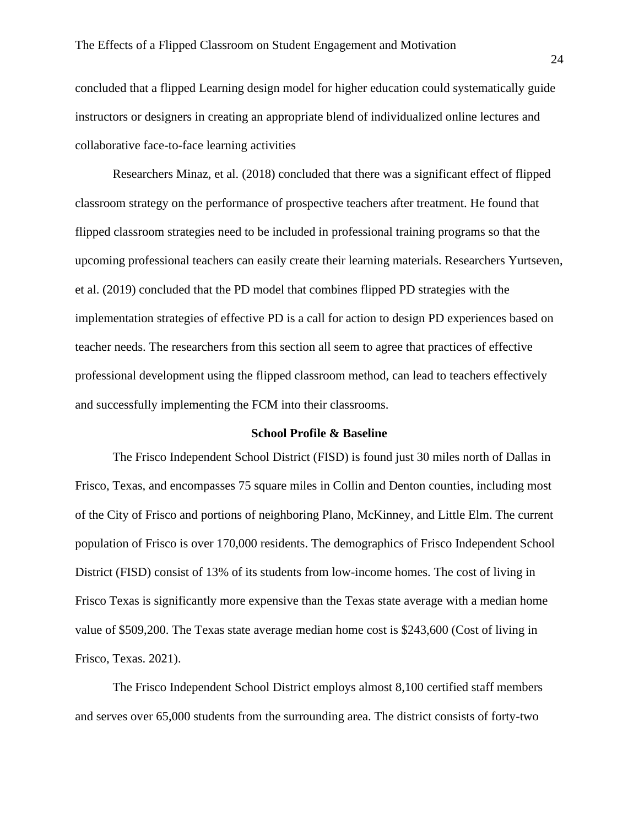concluded that a flipped Learning design model for higher education could systematically guide instructors or designers in creating an appropriate blend of individualized online lectures and collaborative face-to-face learning activities

Researchers Minaz, et al. (2018) concluded that there was a significant effect of flipped classroom strategy on the performance of prospective teachers after treatment. He found that flipped classroom strategies need to be included in professional training programs so that the upcoming professional teachers can easily create their learning materials. Researchers Yurtseven, et al. (2019) concluded that the PD model that combines flipped PD strategies with the implementation strategies of effective PD is a call for action to design PD experiences based on teacher needs. The researchers from this section all seem to agree that practices of effective professional development using the flipped classroom method, can lead to teachers effectively and successfully implementing the FCM into their classrooms.

#### **School Profile & Baseline**

The Frisco Independent School District (FISD) is found just 30 miles north of Dallas in Frisco, Texas, and encompasses 75 square miles in Collin and Denton counties, including most of the City of Frisco and portions of neighboring Plano, McKinney, and Little Elm. The current population of Frisco is over 170,000 residents. The demographics of Frisco Independent School District (FISD) consist of 13% of its students from low-income homes. The cost of living in Frisco Texas is significantly more expensive than the Texas state average with a median home value of \$509,200. The Texas state average median home cost is \$243,600 (Cost of living in Frisco, Texas. 2021).

The Frisco Independent School District employs almost 8,100 certified staff members and serves over 65,000 students from the surrounding area. The district consists of forty-two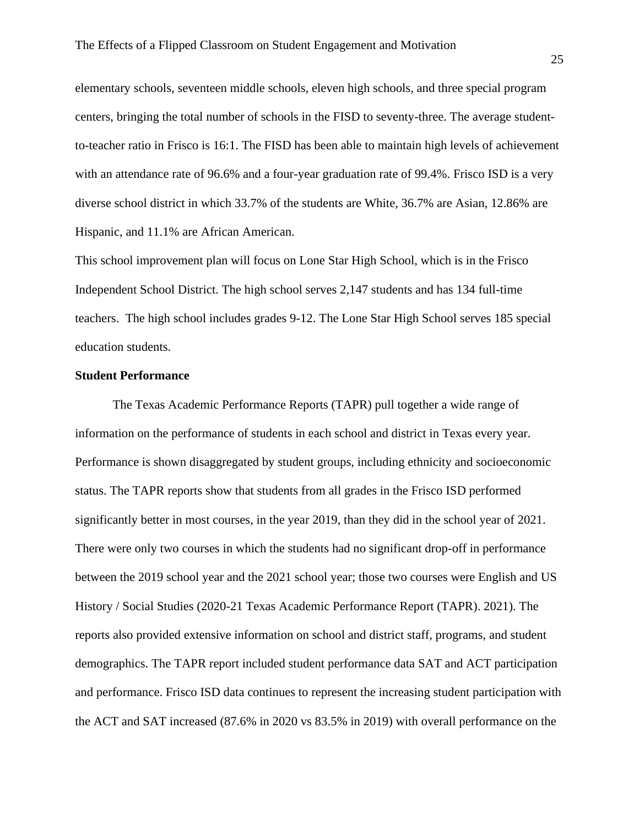elementary schools, seventeen middle schools, eleven high schools, and three special program centers, bringing the total number of schools in the FISD to seventy-three. The average studentto-teacher ratio in Frisco is 16:1. The FISD has been able to maintain high levels of achievement with an attendance rate of 96.6% and a four-year graduation rate of 99.4%. Frisco ISD is a very diverse school district in which 33.7% of the students are White, 36.7% are Asian, 12.86% are Hispanic, and 11.1% are African American.

This school improvement plan will focus on Lone Star High School, which is in the Frisco Independent School District. The high school serves 2,147 students and has 134 full-time teachers. The high school includes grades 9-12. The Lone Star High School serves 185 special education students.

#### **Student Performance**

The Texas Academic Performance Reports (TAPR) pull together a wide range of information on the performance of students in each school and district in Texas every year. Performance is shown disaggregated by student groups, including ethnicity and socioeconomic status. The TAPR reports show that students from all grades in the Frisco ISD performed significantly better in most courses, in the year 2019, than they did in the school year of 2021. There were only two courses in which the students had no significant drop-off in performance between the 2019 school year and the 2021 school year; those two courses were English and US History / Social Studies (2020-21 Texas Academic Performance Report (TAPR). 2021). The reports also provided extensive information on school and district staff, programs, and student demographics. The TAPR report included student performance data SAT and ACT participation and performance. Frisco ISD data continues to represent the increasing student participation with the ACT and SAT increased (87.6% in 2020 vs 83.5% in 2019) with overall performance on the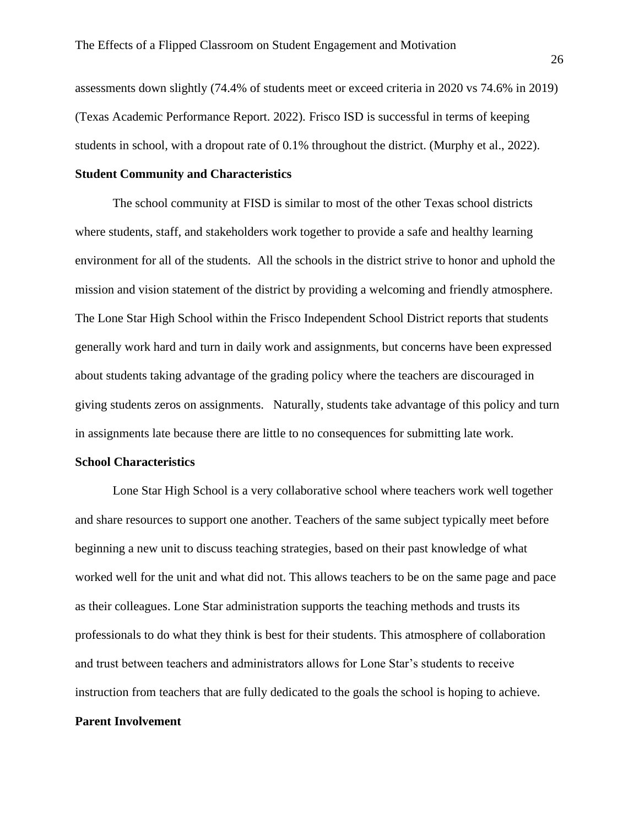assessments down slightly (74.4% of students meet or exceed criteria in 2020 vs 74.6% in 2019) (Texas Academic Performance Report. 2022). Frisco ISD is successful in terms of keeping students in school, with a dropout rate of 0.1% throughout the district. (Murphy et al., 2022).

## **Student Community and Characteristics**

The school community at FISD is similar to most of the other Texas school districts where students, staff, and stakeholders work together to provide a safe and healthy learning environment for all of the students. All the schools in the district strive to honor and uphold the mission and vision statement of the district by providing a welcoming and friendly atmosphere. The Lone Star High School within the Frisco Independent School District reports that students generally work hard and turn in daily work and assignments, but concerns have been expressed about students taking advantage of the grading policy where the teachers are discouraged in giving students zeros on assignments. Naturally, students take advantage of this policy and turn in assignments late because there are little to no consequences for submitting late work.

#### **School Characteristics**

Lone Star High School is a very collaborative school where teachers work well together and share resources to support one another. Teachers of the same subject typically meet before beginning a new unit to discuss teaching strategies, based on their past knowledge of what worked well for the unit and what did not. This allows teachers to be on the same page and pace as their colleagues. Lone Star administration supports the teaching methods and trusts its professionals to do what they think is best for their students. This atmosphere of collaboration and trust between teachers and administrators allows for Lone Star's students to receive instruction from teachers that are fully dedicated to the goals the school is hoping to achieve.

#### **Parent Involvement**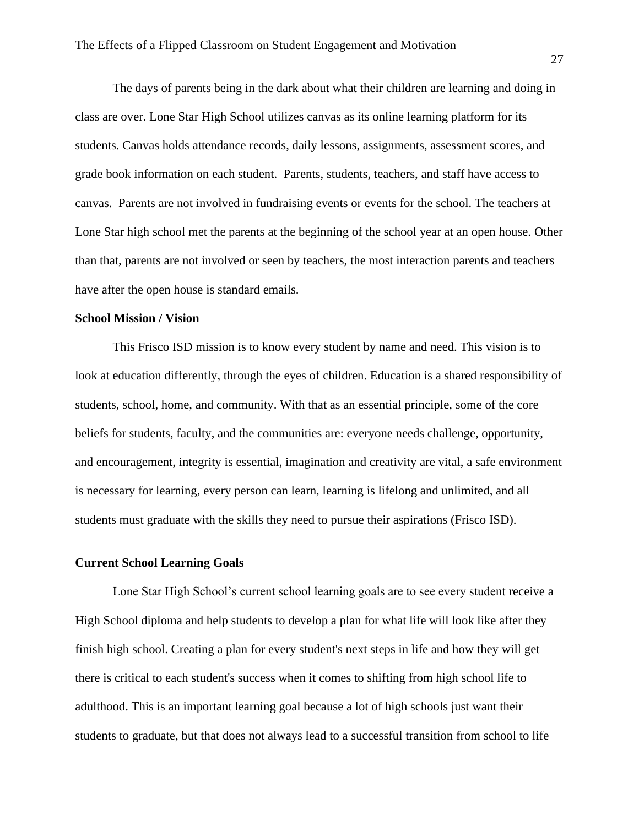The days of parents being in the dark about what their children are learning and doing in class are over. Lone Star High School utilizes canvas as its online learning platform for its students. Canvas holds attendance records, daily lessons, assignments, assessment scores, and grade book information on each student. Parents, students, teachers, and staff have access to canvas. Parents are not involved in fundraising events or events for the school. The teachers at Lone Star high school met the parents at the beginning of the school year at an open house. Other than that, parents are not involved or seen by teachers, the most interaction parents and teachers have after the open house is standard emails.

# **School Mission / Vision**

This Frisco ISD mission is to know every student by name and need. This vision is to look at education differently, through the eyes of children. Education is a shared responsibility of students, school, home, and community. With that as an essential principle, some of the core beliefs for students, faculty, and the communities are: everyone needs challenge, opportunity, and encouragement, integrity is essential, imagination and creativity are vital, a safe environment is necessary for learning, every person can learn, learning is lifelong and unlimited, and all students must graduate with the skills they need to pursue their aspirations (Frisco ISD).

# **Current School Learning Goals**

Lone Star High School's current school learning goals are to see every student receive a High School diploma and help students to develop a plan for what life will look like after they finish high school. Creating a plan for every student's next steps in life and how they will get there is critical to each student's success when it comes to shifting from high school life to adulthood. This is an important learning goal because a lot of high schools just want their students to graduate, but that does not always lead to a successful transition from school to life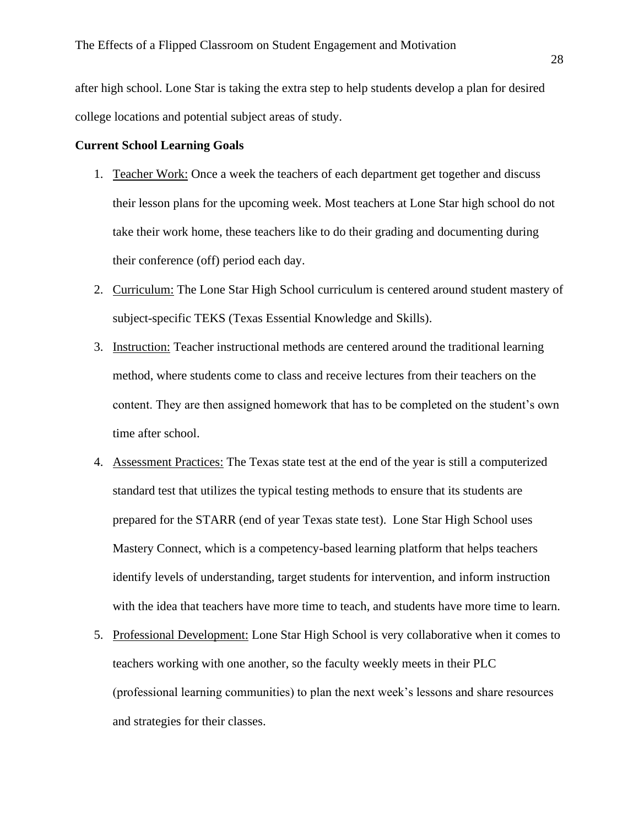after high school. Lone Star is taking the extra step to help students develop a plan for desired college locations and potential subject areas of study.

## **Current School Learning Goals**

- 1. Teacher Work: Once a week the teachers of each department get together and discuss their lesson plans for the upcoming week. Most teachers at Lone Star high school do not take their work home, these teachers like to do their grading and documenting during their conference (off) period each day.
- 2. Curriculum: The Lone Star High School curriculum is centered around student mastery of subject-specific TEKS (Texas Essential Knowledge and Skills).
- 3. Instruction: Teacher instructional methods are centered around the traditional learning method, where students come to class and receive lectures from their teachers on the content. They are then assigned homework that has to be completed on the student's own time after school.
- 4. Assessment Practices: The Texas state test at the end of the year is still a computerized standard test that utilizes the typical testing methods to ensure that its students are prepared for the STARR (end of year Texas state test). Lone Star High School uses Mastery Connect, which is a competency-based learning platform that helps teachers identify levels of understanding, target students for intervention, and inform instruction with the idea that teachers have more time to teach, and students have more time to learn.
- 5. Professional Development: Lone Star High School is very collaborative when it comes to teachers working with one another, so the faculty weekly meets in their PLC (professional learning communities) to plan the next week's lessons and share resources and strategies for their classes.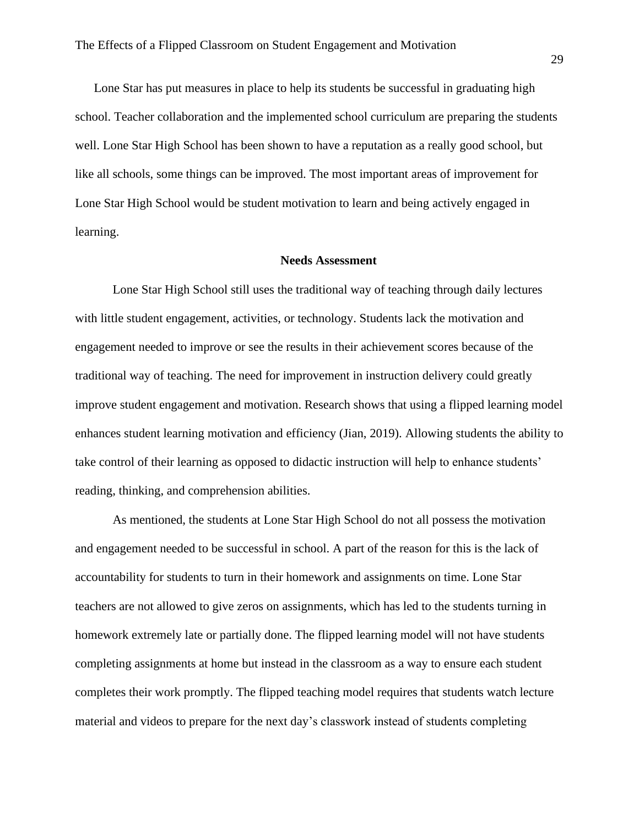Lone Star has put measures in place to help its students be successful in graduating high school. Teacher collaboration and the implemented school curriculum are preparing the students well. Lone Star High School has been shown to have a reputation as a really good school, but like all schools, some things can be improved. The most important areas of improvement for Lone Star High School would be student motivation to learn and being actively engaged in learning.

#### **Needs Assessment**

Lone Star High School still uses the traditional way of teaching through daily lectures with little student engagement, activities, or technology. Students lack the motivation and engagement needed to improve or see the results in their achievement scores because of the traditional way of teaching. The need for improvement in instruction delivery could greatly improve student engagement and motivation. Research shows that using a flipped learning model enhances student learning motivation and efficiency (Jian, 2019). Allowing students the ability to take control of their learning as opposed to didactic instruction will help to enhance students' reading, thinking, and comprehension abilities.

As mentioned, the students at Lone Star High School do not all possess the motivation and engagement needed to be successful in school. A part of the reason for this is the lack of accountability for students to turn in their homework and assignments on time. Lone Star teachers are not allowed to give zeros on assignments, which has led to the students turning in homework extremely late or partially done. The flipped learning model will not have students completing assignments at home but instead in the classroom as a way to ensure each student completes their work promptly. The flipped teaching model requires that students watch lecture material and videos to prepare for the next day's classwork instead of students completing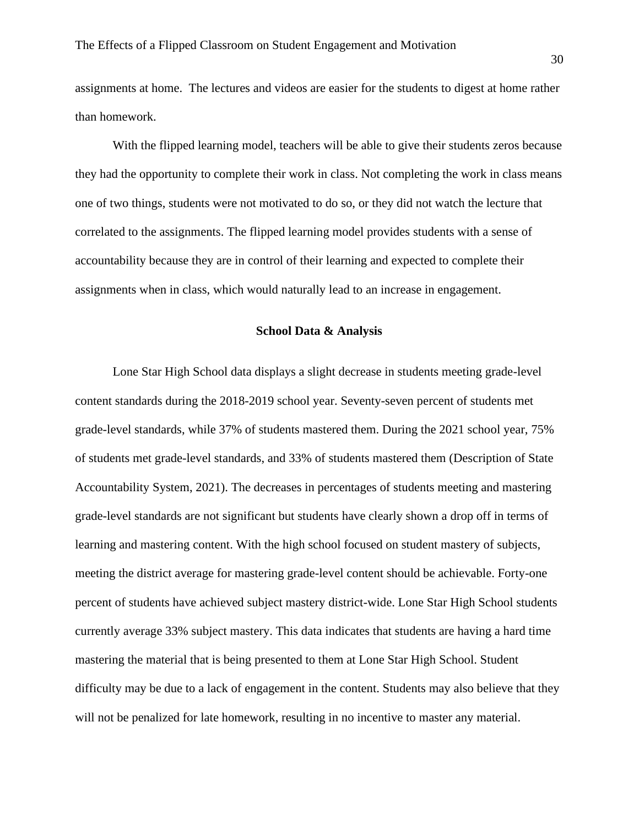assignments at home. The lectures and videos are easier for the students to digest at home rather than homework.

With the flipped learning model, teachers will be able to give their students zeros because they had the opportunity to complete their work in class. Not completing the work in class means one of two things, students were not motivated to do so, or they did not watch the lecture that correlated to the assignments. The flipped learning model provides students with a sense of accountability because they are in control of their learning and expected to complete their assignments when in class, which would naturally lead to an increase in engagement.

#### **School Data & Analysis**

 Lone Star High School data displays a slight decrease in students meeting grade-level content standards during the 2018-2019 school year. Seventy-seven percent of students met grade-level standards, while 37% of students mastered them. During the 2021 school year, 75% of students met grade-level standards, and 33% of students mastered them (Description of State Accountability System, 2021). The decreases in percentages of students meeting and mastering grade-level standards are not significant but students have clearly shown a drop off in terms of learning and mastering content. With the high school focused on student mastery of subjects, meeting the district average for mastering grade-level content should be achievable. Forty-one percent of students have achieved subject mastery district-wide. Lone Star High School students currently average 33% subject mastery. This data indicates that students are having a hard time mastering the material that is being presented to them at Lone Star High School. Student difficulty may be due to a lack of engagement in the content. Students may also believe that they will not be penalized for late homework, resulting in no incentive to master any material.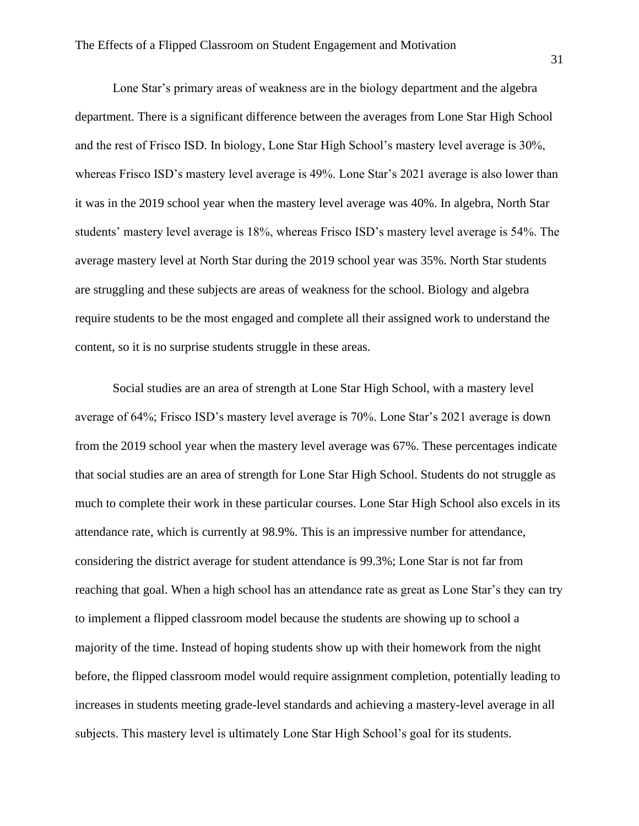Lone Star's primary areas of weakness are in the biology department and the algebra department. There is a significant difference between the averages from Lone Star High School and the rest of Frisco ISD. In biology, Lone Star High School's mastery level average is 30%, whereas Frisco ISD's mastery level average is 49%. Lone Star's 2021 average is also lower than it was in the 2019 school year when the mastery level average was 40%. In algebra, North Star students' mastery level average is 18%, whereas Frisco ISD's mastery level average is 54%. The average mastery level at North Star during the 2019 school year was 35%. North Star students are struggling and these subjects are areas of weakness for the school. Biology and algebra require students to be the most engaged and complete all their assigned work to understand the content, so it is no surprise students struggle in these areas.

 Social studies are an area of strength at Lone Star High School, with a mastery level average of 64%; Frisco ISD's mastery level average is 70%. Lone Star's 2021 average is down from the 2019 school year when the mastery level average was 67%. These percentages indicate that social studies are an area of strength for Lone Star High School. Students do not struggle as much to complete their work in these particular courses. Lone Star High School also excels in its attendance rate, which is currently at 98.9%. This is an impressive number for attendance, considering the district average for student attendance is 99.3%; Lone Star is not far from reaching that goal. When a high school has an attendance rate as great as Lone Star's they can try to implement a flipped classroom model because the students are showing up to school a majority of the time. Instead of hoping students show up with their homework from the night before, the flipped classroom model would require assignment completion, potentially leading to increases in students meeting grade-level standards and achieving a mastery-level average in all subjects. This mastery level is ultimately Lone Star High School's goal for its students.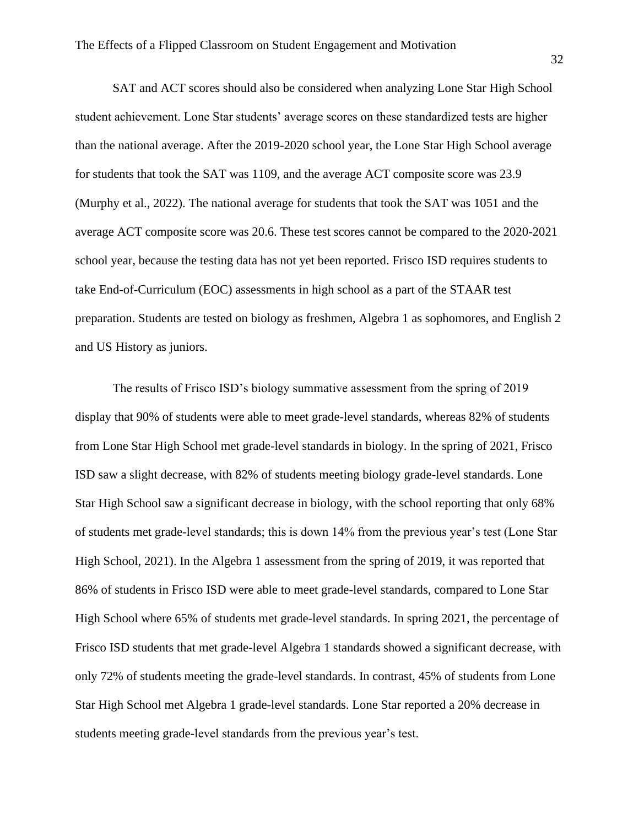SAT and ACT scores should also be considered when analyzing Lone Star High School student achievement. Lone Star students' average scores on these standardized tests are higher than the national average. After the 2019-2020 school year, the Lone Star High School average for students that took the SAT was 1109, and the average ACT composite score was 23.9 (Murphy et al., 2022). The national average for students that took the SAT was 1051 and the average ACT composite score was 20.6. These test scores cannot be compared to the 2020-2021 school year, because the testing data has not yet been reported. Frisco ISD requires students to take End-of-Curriculum (EOC) assessments in high school as a part of the STAAR test preparation. Students are tested on biology as freshmen, Algebra 1 as sophomores, and English 2 and US History as juniors.

The results of Frisco ISD's biology summative assessment from the spring of 2019 display that 90% of students were able to meet grade-level standards, whereas 82% of students from Lone Star High School met grade-level standards in biology. In the spring of 2021, Frisco ISD saw a slight decrease, with 82% of students meeting biology grade-level standards. Lone Star High School saw a significant decrease in biology, with the school reporting that only 68% of students met grade-level standards; this is down 14% from the previous year's test (Lone Star High School, 2021). In the Algebra 1 assessment from the spring of 2019, it was reported that 86% of students in Frisco ISD were able to meet grade-level standards, compared to Lone Star High School where 65% of students met grade-level standards. In spring 2021, the percentage of Frisco ISD students that met grade-level Algebra 1 standards showed a significant decrease, with only 72% of students meeting the grade-level standards. In contrast, 45% of students from Lone Star High School met Algebra 1 grade-level standards. Lone Star reported a 20% decrease in students meeting grade-level standards from the previous year's test.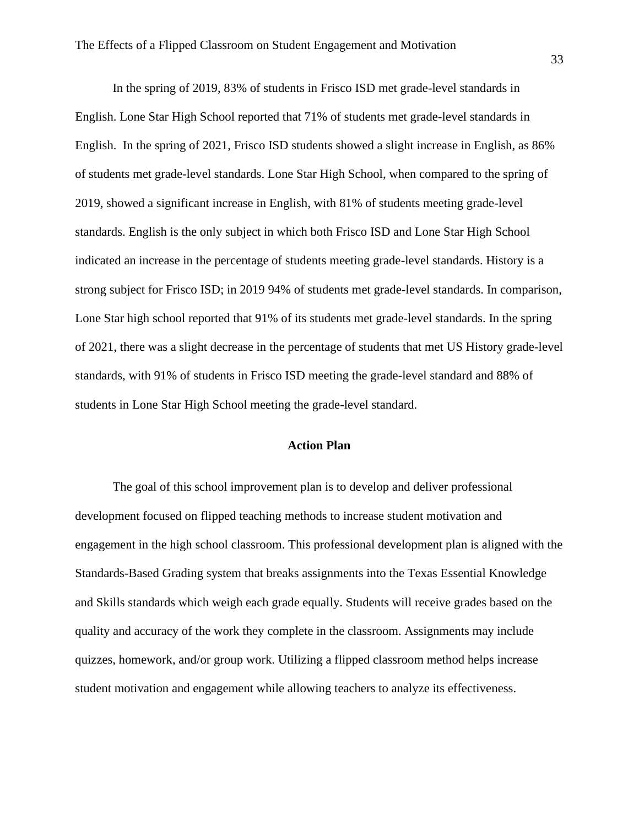In the spring of 2019, 83% of students in Frisco ISD met grade-level standards in English. Lone Star High School reported that 71% of students met grade-level standards in English. In the spring of 2021, Frisco ISD students showed a slight increase in English, as 86% of students met grade-level standards. Lone Star High School, when compared to the spring of 2019, showed a significant increase in English, with 81% of students meeting grade-level standards. English is the only subject in which both Frisco ISD and Lone Star High School indicated an increase in the percentage of students meeting grade-level standards. History is a strong subject for Frisco ISD; in 2019 94% of students met grade-level standards. In comparison, Lone Star high school reported that 91% of its students met grade-level standards. In the spring of 2021, there was a slight decrease in the percentage of students that met US History grade-level standards, with 91% of students in Frisco ISD meeting the grade-level standard and 88% of students in Lone Star High School meeting the grade-level standard.

## **Action Plan**

The goal of this school improvement plan is to develop and deliver professional development focused on flipped teaching methods to increase student motivation and engagement in the high school classroom. This professional development plan is aligned with the Standards-Based Grading system that breaks assignments into the Texas Essential Knowledge and Skills standards which weigh each grade equally. Students will receive grades based on the quality and accuracy of the work they complete in the classroom. Assignments may include quizzes, homework, and/or group work. Utilizing a flipped classroom method helps increase student motivation and engagement while allowing teachers to analyze its effectiveness.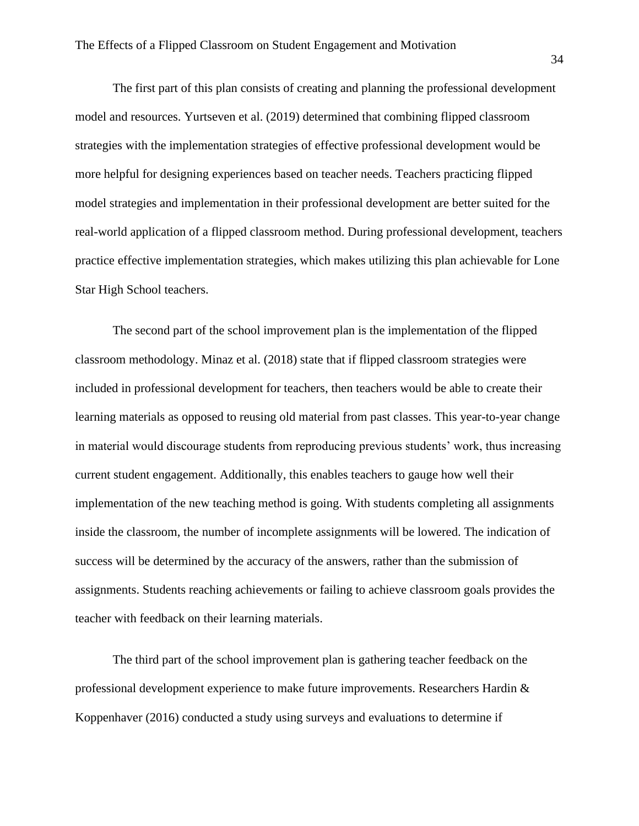The first part of this plan consists of creating and planning the professional development model and resources. Yurtseven et al. (2019) determined that combining flipped classroom strategies with the implementation strategies of effective professional development would be more helpful for designing experiences based on teacher needs. Teachers practicing flipped model strategies and implementation in their professional development are better suited for the real-world application of a flipped classroom method. During professional development, teachers practice effective implementation strategies, which makes utilizing this plan achievable for Lone Star High School teachers.

The second part of the school improvement plan is the implementation of the flipped classroom methodology. Minaz et al. (2018) state that if flipped classroom strategies were included in professional development for teachers, then teachers would be able to create their learning materials as opposed to reusing old material from past classes. This year-to-year change in material would discourage students from reproducing previous students' work, thus increasing current student engagement. Additionally, this enables teachers to gauge how well their implementation of the new teaching method is going. With students completing all assignments inside the classroom, the number of incomplete assignments will be lowered. The indication of success will be determined by the accuracy of the answers, rather than the submission of assignments. Students reaching achievements or failing to achieve classroom goals provides the teacher with feedback on their learning materials.

The third part of the school improvement plan is gathering teacher feedback on the professional development experience to make future improvements. Researchers Hardin & Koppenhaver (2016) conducted a study using surveys and evaluations to determine if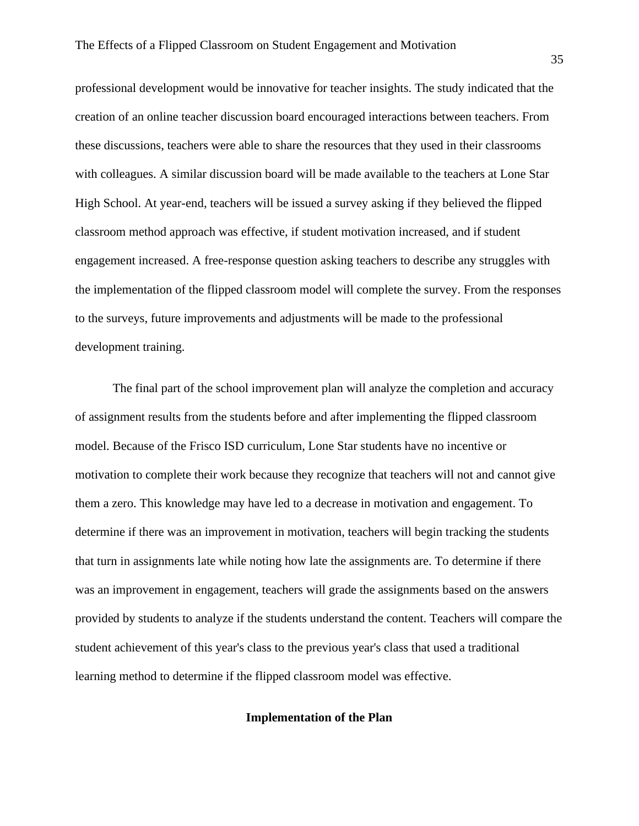professional development would be innovative for teacher insights. The study indicated that the creation of an online teacher discussion board encouraged interactions between teachers. From these discussions, teachers were able to share the resources that they used in their classrooms with colleagues. A similar discussion board will be made available to the teachers at Lone Star High School. At year-end, teachers will be issued a survey asking if they believed the flipped classroom method approach was effective, if student motivation increased, and if student engagement increased. A free-response question asking teachers to describe any struggles with the implementation of the flipped classroom model will complete the survey. From the responses to the surveys, future improvements and adjustments will be made to the professional development training.

 The final part of the school improvement plan will analyze the completion and accuracy of assignment results from the students before and after implementing the flipped classroom model. Because of the Frisco ISD curriculum, Lone Star students have no incentive or motivation to complete their work because they recognize that teachers will not and cannot give them a zero. This knowledge may have led to a decrease in motivation and engagement. To determine if there was an improvement in motivation, teachers will begin tracking the students that turn in assignments late while noting how late the assignments are. To determine if there was an improvement in engagement, teachers will grade the assignments based on the answers provided by students to analyze if the students understand the content. Teachers will compare the student achievement of this year's class to the previous year's class that used a traditional learning method to determine if the flipped classroom model was effective.

# **Implementation of the Plan**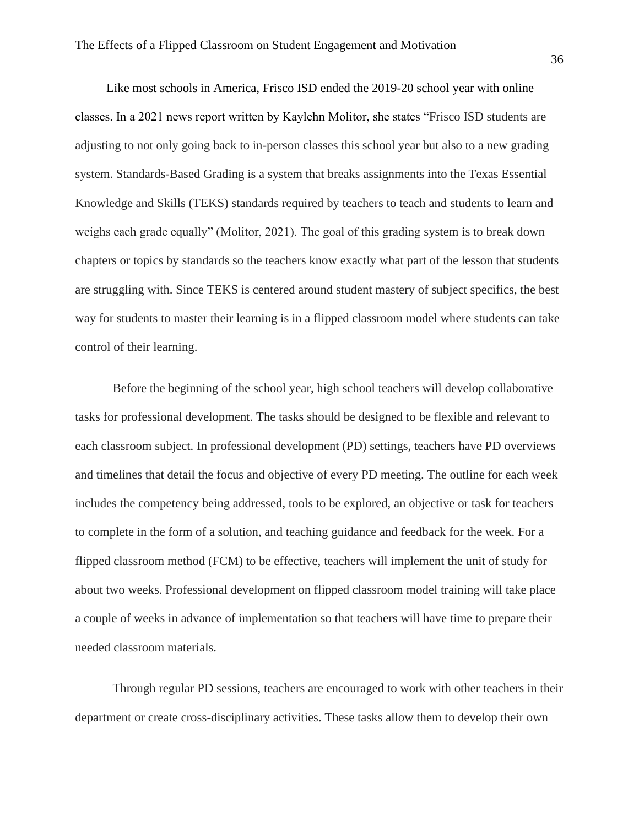Like most schools in America, Frisco ISD ended the 2019-20 school year with online classes. In a 2021 news report written by Kaylehn Molitor, she states "Frisco ISD students are adjusting to not only going back to in-person classes this school year but also to a new grading system. Standards-Based Grading is a system that breaks assignments into the Texas Essential Knowledge and Skills (TEKS) standards required by teachers to teach and students to learn and weighs each grade equally" (Molitor, 2021). The goal of this grading system is to break down chapters or topics by standards so the teachers know exactly what part of the lesson that students are struggling with. Since TEKS is centered around student mastery of subject specifics, the best way for students to master their learning is in a flipped classroom model where students can take control of their learning.

 Before the beginning of the school year, high school teachers will develop collaborative tasks for professional development. The tasks should be designed to be flexible and relevant to each classroom subject. In professional development (PD) settings, teachers have PD overviews and timelines that detail the focus and objective of every PD meeting. The outline for each week includes the competency being addressed, tools to be explored, an objective or task for teachers to complete in the form of a solution, and teaching guidance and feedback for the week. For a flipped classroom method (FCM) to be effective, teachers will implement the unit of study for about two weeks. Professional development on flipped classroom model training will take place a couple of weeks in advance of implementation so that teachers will have time to prepare their needed classroom materials.

 Through regular PD sessions, teachers are encouraged to work with other teachers in their department or create cross-disciplinary activities. These tasks allow them to develop their own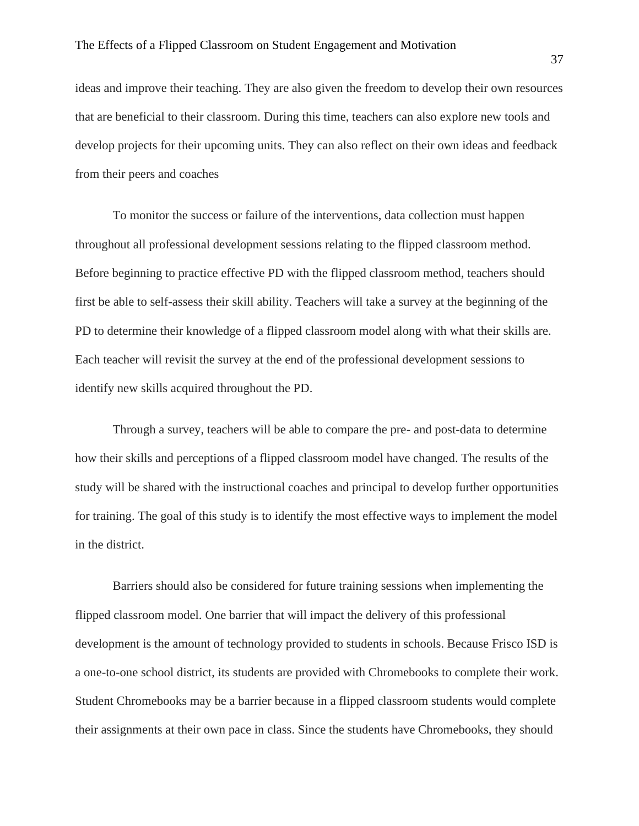ideas and improve their teaching. They are also given the freedom to develop their own resources that are beneficial to their classroom. During this time, teachers can also explore new tools and develop projects for their upcoming units. They can also reflect on their own ideas and feedback from their peers and coaches

 To monitor the success or failure of the interventions, data collection must happen throughout all professional development sessions relating to the flipped classroom method. Before beginning to practice effective PD with the flipped classroom method, teachers should first be able to self-assess their skill ability. Teachers will take a survey at the beginning of the PD to determine their knowledge of a flipped classroom model along with what their skills are. Each teacher will revisit the survey at the end of the professional development sessions to identify new skills acquired throughout the PD.

 Through a survey, teachers will be able to compare the pre- and post-data to determine how their skills and perceptions of a flipped classroom model have changed. The results of the study will be shared with the instructional coaches and principal to develop further opportunities for training. The goal of this study is to identify the most effective ways to implement the model in the district.

 Barriers should also be considered for future training sessions when implementing the flipped classroom model. One barrier that will impact the delivery of this professional development is the amount of technology provided to students in schools. Because Frisco ISD is a one-to-one school district, its students are provided with Chromebooks to complete their work. Student Chromebooks may be a barrier because in a flipped classroom students would complete their assignments at their own pace in class. Since the students have Chromebooks, they should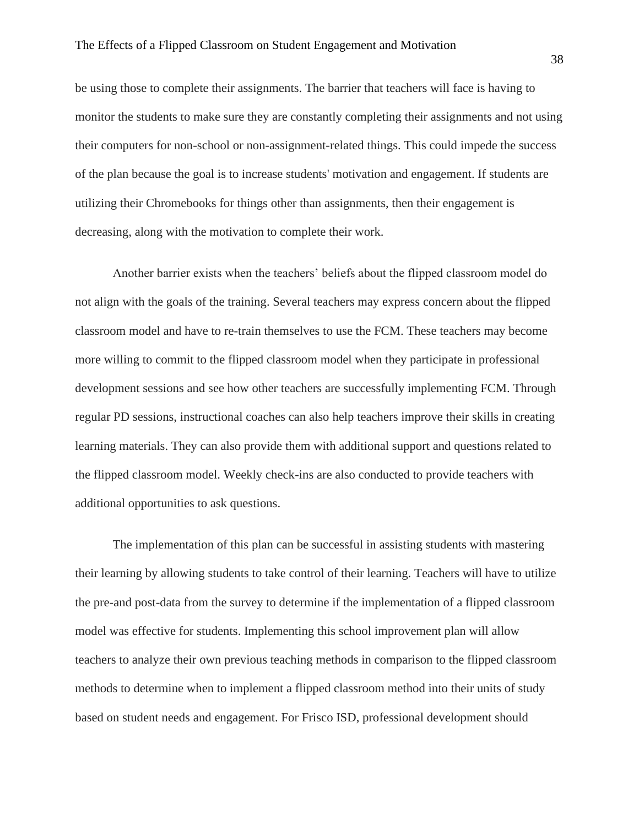be using those to complete their assignments. The barrier that teachers will face is having to monitor the students to make sure they are constantly completing their assignments and not using their computers for non-school or non-assignment-related things. This could impede the success of the plan because the goal is to increase students' motivation and engagement. If students are utilizing their Chromebooks for things other than assignments, then their engagement is decreasing, along with the motivation to complete their work.

 Another barrier exists when the teachers' beliefs about the flipped classroom model do not align with the goals of the training. Several teachers may express concern about the flipped classroom model and have to re-train themselves to use the FCM. These teachers may become more willing to commit to the flipped classroom model when they participate in professional development sessions and see how other teachers are successfully implementing FCM. Through regular PD sessions, instructional coaches can also help teachers improve their skills in creating learning materials. They can also provide them with additional support and questions related to the flipped classroom model. Weekly check-ins are also conducted to provide teachers with additional opportunities to ask questions.

The implementation of this plan can be successful in assisting students with mastering their learning by allowing students to take control of their learning. Teachers will have to utilize the pre-and post-data from the survey to determine if the implementation of a flipped classroom model was effective for students. Implementing this school improvement plan will allow teachers to analyze their own previous teaching methods in comparison to the flipped classroom methods to determine when to implement a flipped classroom method into their units of study based on student needs and engagement. For Frisco ISD, professional development should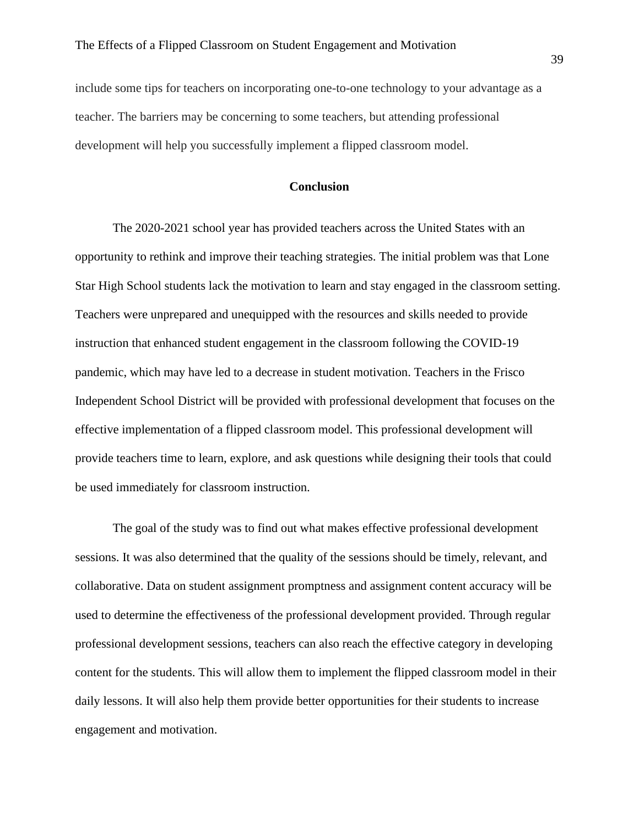include some tips for teachers on incorporating one-to-one technology to your advantage as a teacher. The barriers may be concerning to some teachers, but attending professional development will help you successfully implement a flipped classroom model.

# **Conclusion**

The 2020-2021 school year has provided teachers across the United States with an opportunity to rethink and improve their teaching strategies. The initial problem was that Lone Star High School students lack the motivation to learn and stay engaged in the classroom setting. Teachers were unprepared and unequipped with the resources and skills needed to provide instruction that enhanced student engagement in the classroom following the COVID-19 pandemic, which may have led to a decrease in student motivation. Teachers in the Frisco Independent School District will be provided with professional development that focuses on the effective implementation of a flipped classroom model. This professional development will provide teachers time to learn, explore, and ask questions while designing their tools that could be used immediately for classroom instruction.

The goal of the study was to find out what makes effective professional development sessions. It was also determined that the quality of the sessions should be timely, relevant, and collaborative. Data on student assignment promptness and assignment content accuracy will be used to determine the effectiveness of the professional development provided. Through regular professional development sessions, teachers can also reach the effective category in developing content for the students. This will allow them to implement the flipped classroom model in their daily lessons. It will also help them provide better opportunities for their students to increase engagement and motivation.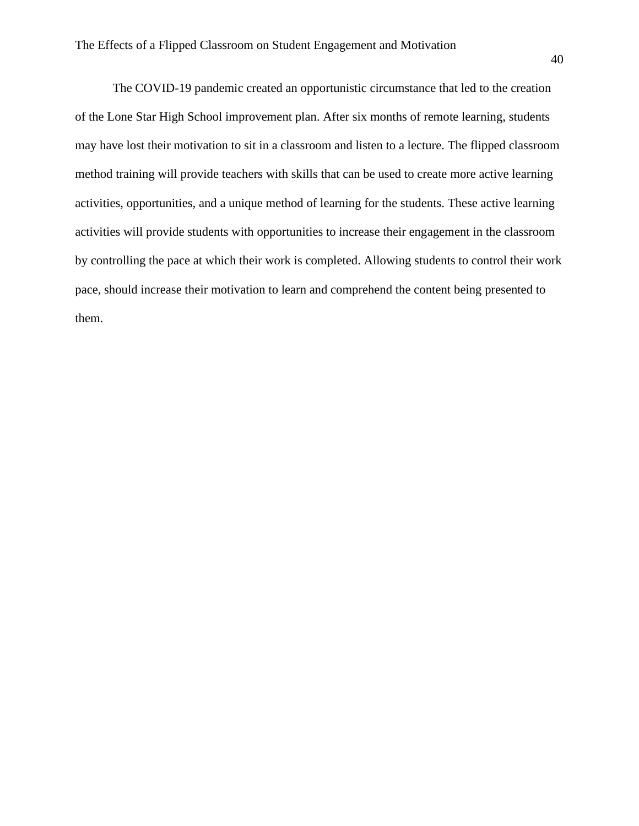The COVID-19 pandemic created an opportunistic circumstance that led to the creation of the Lone Star High School improvement plan. After six months of remote learning, students may have lost their motivation to sit in a classroom and listen to a lecture. The flipped classroom method training will provide teachers with skills that can be used to create more active learning activities, opportunities, and a unique method of learning for the students. These active learning activities will provide students with opportunities to increase their engagement in the classroom by controlling the pace at which their work is completed. Allowing students to control their work pace, should increase their motivation to learn and comprehend the content being presented to them.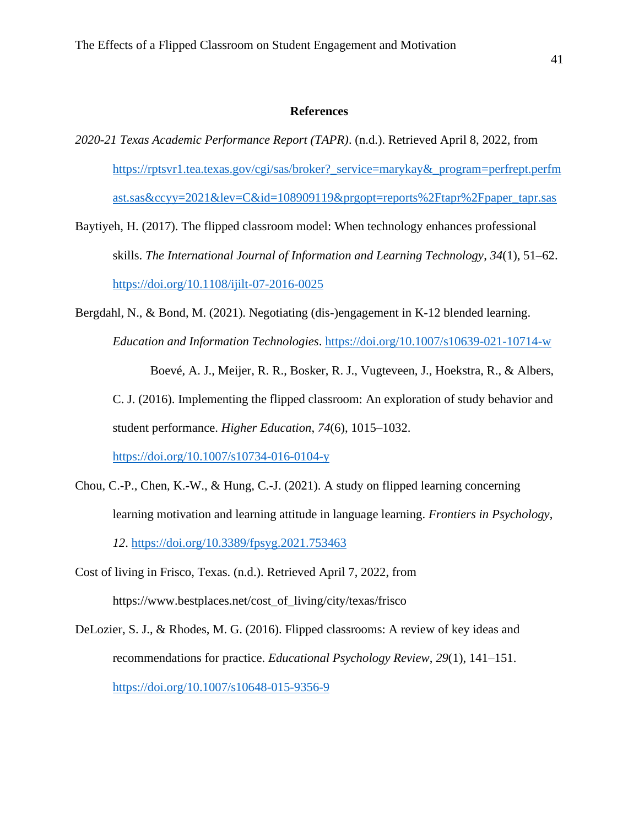# **References**

- *2020-21 Texas Academic Performance Report (TAPR)*. (n.d.). Retrieved April 8, 2022, from [https://rptsvr1.tea.texas.gov/cgi/sas/broker?\\_service=marykay&\\_program=perfrept.perfm](https://rptsvr1.tea.texas.gov/cgi/sas/broker?_service=marykay&_program=perfrept.perfmast.sas&ccyy=2021&lev=C&id=108909119&prgopt=reports%2Ftapr%2Fpaper_tapr.sas) [ast.sas&ccyy=2021&lev=C&id=108909119&prgopt=reports%2Ftapr%2Fpaper\\_tapr.sas](https://rptsvr1.tea.texas.gov/cgi/sas/broker?_service=marykay&_program=perfrept.perfmast.sas&ccyy=2021&lev=C&id=108909119&prgopt=reports%2Ftapr%2Fpaper_tapr.sas)
- Baytiyeh, H. (2017). The flipped classroom model: When technology enhances professional skills. *The International Journal of Information and Learning Technology*, *34*(1), 51–62. <https://doi.org/10.1108/ijilt-07-2016-0025>
- Bergdahl, N., & Bond, M. (2021). Negotiating (dis-)engagement in K-12 blended learning. *Education and Information Technologies*.<https://doi.org/10.1007/s10639-021-10714-w> Boevé, A. J., Meijer, R. R., Bosker, R. J., Vugteveen, J., Hoekstra, R., & Albers,

C. J. (2016). Implementing the flipped classroom: An exploration of study behavior and student performance. *Higher Education*, *74*(6), 1015–1032.

<https://doi.org/10.1007/s10734-016-0104-y>

- Chou, C.-P., Chen, K.-W., & Hung, C.-J. (2021). A study on flipped learning concerning learning motivation and learning attitude in language learning. *Frontiers in Psychology*, *12*.<https://doi.org/10.3389/fpsyg.2021.753463>
- Cost of living in Frisco, Texas. (n.d.). Retrieved April 7, 2022, from https://www.bestplaces.net/cost\_of\_living/city/texas/frisco
- DeLozier, S. J., & Rhodes, M. G. (2016). Flipped classrooms: A review of key ideas and recommendations for practice. *Educational Psychology Review*, *29*(1), 141–151. <https://doi.org/10.1007/s10648-015-9356-9>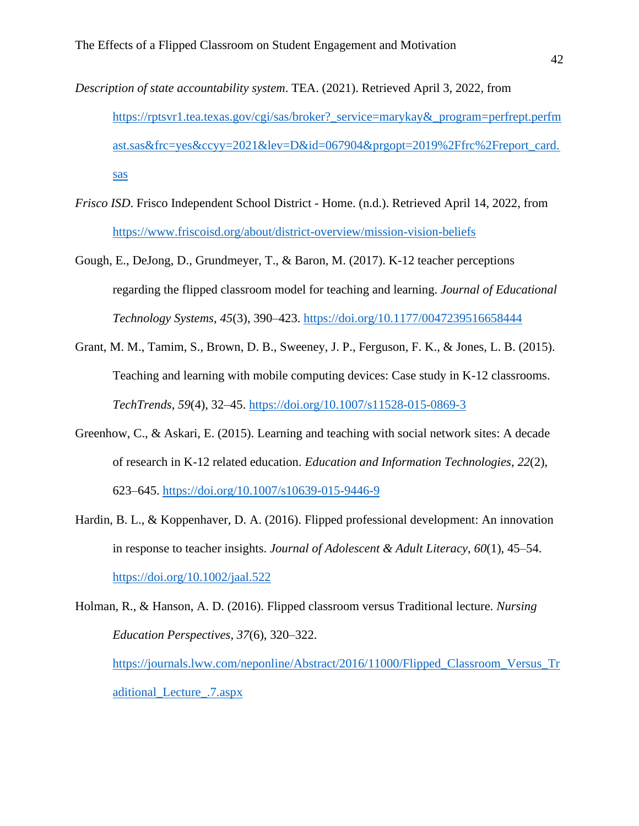- *Description of state accountability system*. TEA. (2021). Retrieved April 3, 2022, from https://rptsvr1.tea.texas.gov/cgi/sas/broker?\_service=marykay&\_program=perfrept.perfm ast.sas&frc=yes&ccyy=2021&lev=D&id=067904&prgopt=2019%2Ffrc%2Freport\_card. sas
- *Frisco ISD*. Frisco Independent School District Home. (n.d.). Retrieved April 14, 2022, from https://www.friscoisd.org/about/district-overview/mission-vision-beliefs
- Gough, E., DeJong, D., Grundmeyer, T., & Baron, M. (2017). K-12 teacher perceptions regarding the flipped classroom model for teaching and learning. *Journal of Educational Technology Systems*, *45*(3), 390–423. https://doi.org/10.1177/0047239516658444
- Grant, M. M., Tamim, S., Brown, D. B., Sweeney, J. P., Ferguson, F. K., & Jones, L. B. (2015). Teaching and learning with mobile computing devices: Case study in K-12 classrooms. *TechTrends*, *59*(4), 32–45. https://doi.org/10.1007/s11528-015-0869-3
- Greenhow, C., & Askari, E. (2015). Learning and teaching with social network sites: A decade of research in K-12 related education. *Education and Information Technologies*, *22*(2), 623–645. https://doi.org/10.1007/s10639-015-9446-9
- Hardin, B. L., & Koppenhaver, D. A. (2016). Flipped professional development: An innovation in response to teacher insights. *Journal of Adolescent & Adult Literacy*, *60*(1), 45–54. https://doi.org/10.1002/jaal.522

Holman, R., & Hanson, A. D. (2016). Flipped classroom versus Traditional lecture. *Nursing Education Perspectives*, *37*(6), 320–322. https://journals.lww.com/neponline/Abstract/2016/11000/Flipped\_Classroom\_Versus\_Tr aditional\_Lecture\_.7.aspx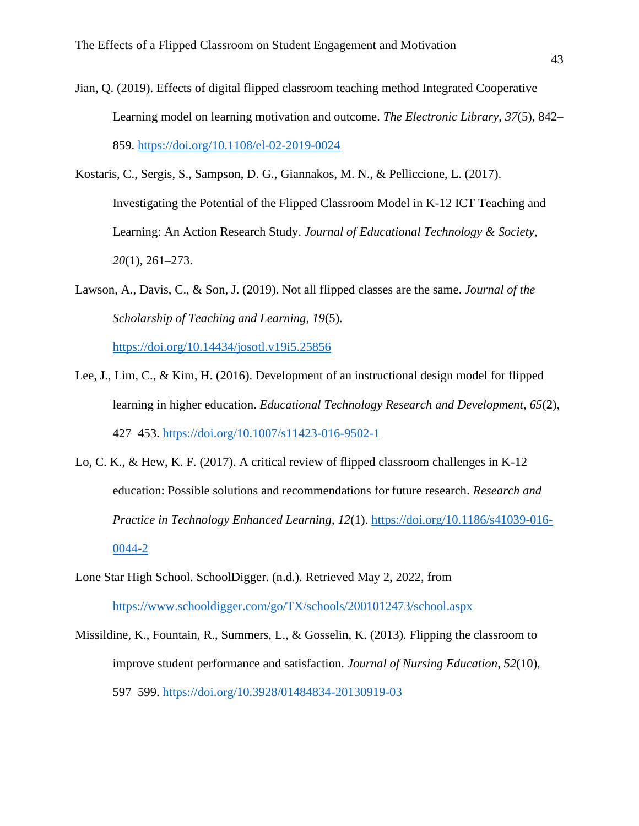- Jian, Q. (2019). Effects of digital flipped classroom teaching method Integrated Cooperative Learning model on learning motivation and outcome. *The Electronic Library*, *37*(5), 842– 859. https://doi.org/10.1108/el-02-2019-0024
- Kostaris, C., Sergis, S., Sampson, D. G., Giannakos, M. N., & Pelliccione, L. (2017). Investigating the Potential of the Flipped Classroom Model in K-12 ICT Teaching and Learning: An Action Research Study. *Journal of Educational Technology & Society*, *20*(1), 261–273.
- Lawson, A., Davis, C., & Son, J. (2019). Not all flipped classes are the same. *Journal of the Scholarship of Teaching and Learning*, *19*(5).

https://doi.org/10.14434/josotl.v19i5.25856

- Lee, J., Lim, C., & Kim, H. (2016). Development of an instructional design model for flipped learning in higher education. *Educational Technology Research and Development*, *65*(2), 427–453. https://doi.org/10.1007/s11423-016-9502-1
- Lo, C. K., & Hew, K. F. (2017). A critical review of flipped classroom challenges in K-12 education: Possible solutions and recommendations for future research. *Research and Practice in Technology Enhanced Learning*, *12*(1). https://doi.org/10.1186/s41039-016- 0044-2
- Lone Star High School. SchoolDigger. (n.d.). Retrieved May 2, 2022, from https://www.schooldigger.com/go/TX/schools/2001012473/school.aspx
- Missildine, K., Fountain, R., Summers, L., & Gosselin, K. (2013). Flipping the classroom to improve student performance and satisfaction. *Journal of Nursing Education*, *52*(10), 597–599. https://doi.org/10.3928/01484834-20130919-03